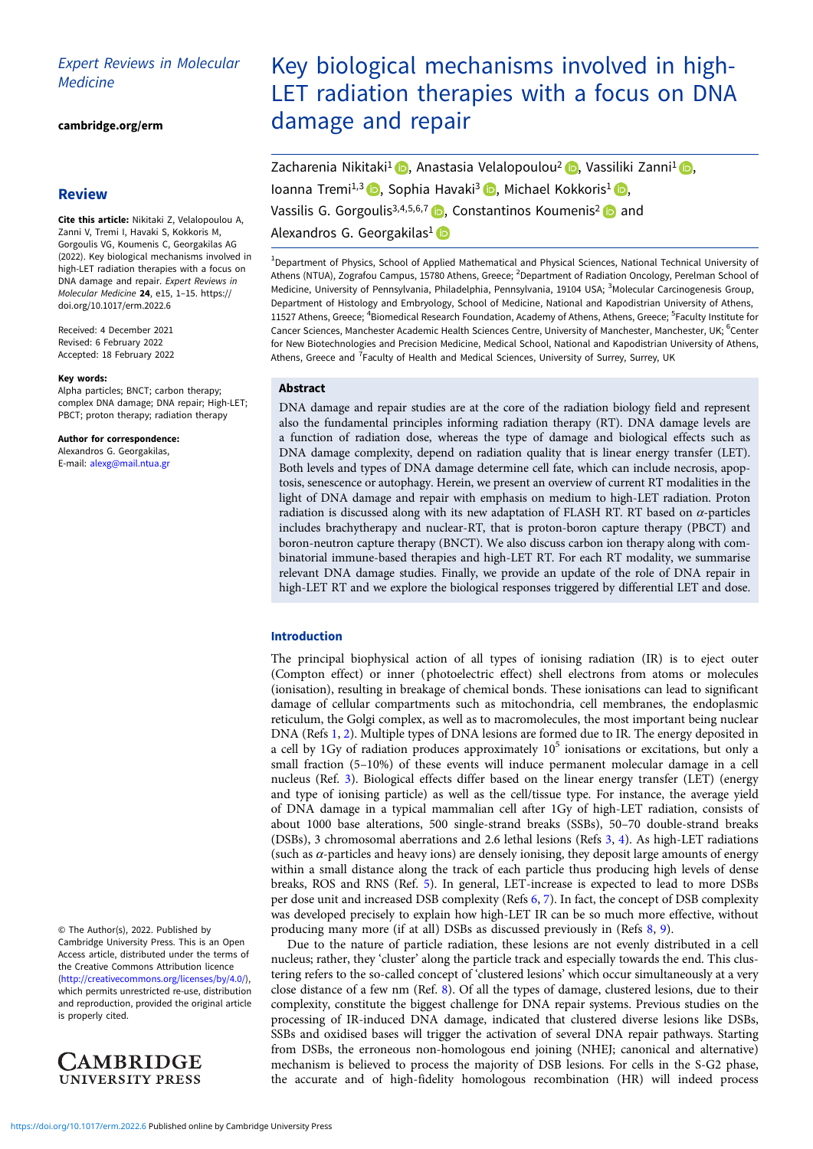# Expert Reviews in Molecular **Medicine**

[cambridge.org/erm](https://www.cambridge.org/erm)

# **Review**

Cite this article: Nikitaki Z, Velalopoulou A, Zanni V, Tremi I, Havaki S, Kokkoris M, Gorgoulis VG, Koumenis C, Georgakilas AG (2022). Key biological mechanisms involved in high-LET radiation therapies with a focus on DNA damage and repair. Expert Reviews in Molecular Medicine 24, e15, 1–15. [https://](https://doi.org/10.1017/erm.2022.6) [doi.org/10.1017/erm.2022.6](https://doi.org/10.1017/erm.2022.6)

Received: 4 December 2021 Revised: 6 February 2022 Accepted: 18 February 2022

#### Key words:

Alpha particles; BNCT; carbon therapy; complex DNA damage; DNA repair; High-LET; PBCT; proton therapy; radiation therapy

Author for correspondence:

Alexandros G. Georgakilas, E-mail: [alexg@mail.ntua.gr](mailto:alexg@mail.ntua.gr)

© The Author(s), 2022. Published by Cambridge University Press. This is an Open Access article, distributed under the terms of the Creative Commons Attribution licence ([http://creativecommons.org/licenses/by/4.0/\)](http://creativecommons.org/licenses/by/4.0/), which permits unrestricted re-use, distribution and reproduction, provided the original article is properly cited.



# Key biological mechanisms involved in high-LET radiation therapies with a focus on DNA damage and repair

Zacharenia Nikitaki<sup>1</sup> D, Anastasia Velalopoulou<sup>2</sup> D, Vassiliki Zanni<sup>1</sup> D, Ioanna Tremi<sup>1,3</sup> , Sophia Havaki<sup>3</sup> , Michael Kokkoris<sup>1</sup> , Vassilis G. Gorgoulis<sup>3,4,5,6,7</sup>  $\bullet$ , Constantinos Koumenis<sup>2</sup>  $\bullet$  and Alexandros G. Georgakilas<sup>1</sup>

<sup>1</sup> Department of Physics, School of Applied Mathematical and Physical Sciences, National Technical University of Athens (NTUA), Zografou Campus, 15780 Athens, Greece; <sup>2</sup>Department of Radiation Oncology, Perelman School of Medicine, University of Pennsylvania, Philadelphia, Pennsylvania, 19104 USA; <sup>3</sup>Molecular Carcinogenesis Group, Department of Histology and Embryology, School of Medicine, National and Kapodistrian University of Athens, 11527 Athens, Greece; <sup>4</sup>Biomedical Research Foundation, Academy of Athens, Athens, Greece; <sup>5</sup>Faculty Institute for Cancer Sciences, Manchester Academic Health Sciences Centre, University of Manchester, Manchester, UK; <sup>6</sup>Center for New Biotechnologies and Precision Medicine, Medical School, National and Kapodistrian University of Athens, Athens, Greece and <sup>7</sup>Faculty of Health and Medical Sciences, University of Surrey, Surrey, UK

#### Abstract

DNA damage and repair studies are at the core of the radiation biology field and represent also the fundamental principles informing radiation therapy (RT). DNA damage levels are a function of radiation dose, whereas the type of damage and biological effects such as DNA damage complexity, depend on radiation quality that is linear energy transfer (LET). Both levels and types of DNA damage determine cell fate, which can include necrosis, apoptosis, senescence or autophagy. Herein, we present an overview of current RT modalities in the light of DNA damage and repair with emphasis on medium to high-LET radiation. Proton radiation is discussed along with its new adaptation of FLASH RT. RT based on α-particles includes brachytherapy and nuclear-RT, that is proton-boron capture therapy (PBCT) and boron-neutron capture therapy (BNCT). We also discuss carbon ion therapy along with combinatorial immune-based therapies and high-LET RT. For each RT modality, we summarise relevant DNA damage studies. Finally, we provide an update of the role of DNA repair in high-LET RT and we explore the biological responses triggered by differential LET and dose.

### Introduction

The principal biophysical action of all types of ionising radiation (IR) is to eject outer (Compton effect) or inner (photoelectric effect) shell electrons from atoms or molecules (ionisation), resulting in breakage of chemical bonds. These ionisations can lead to significant damage of cellular compartments such as mitochondria, cell membranes, the endoplasmic reticulum, the Golgi complex, as well as to macromolecules, the most important being nuclear DNA (Refs [1](#page-10-0), [2](#page-10-0)). Multiple types of DNA lesions are formed due to IR. The energy deposited in a cell by 1Gy of radiation produces approximately  $10^5$  ionisations or excitations, but only a small fraction (5–10%) of these events will induce permanent molecular damage in a cell nucleus (Ref. [3](#page-10-0)). Biological effects differ based on the linear energy transfer (LET) (energy and type of ionising particle) as well as the cell/tissue type. For instance, the average yield of DNA damage in a typical mammalian cell after 1Gy of high-LET radiation, consists of about 1000 base alterations, 500 single-strand breaks (SSBs), 50–70 double-strand breaks (DSBs), 3 chromosomal aberrations and 2.6 lethal lesions (Refs [3](#page-10-0), [4\)](#page-10-0). As high-LET radiations (such as  $\alpha$ -particles and heavy ions) are densely ionising, they deposit large amounts of energy within a small distance along the track of each particle thus producing high levels of dense breaks, ROS and RNS (Ref. [5\)](#page-10-0). In general, LET-increase is expected to lead to more DSBs per dose unit and increased DSB complexity (Refs [6,](#page-10-0) [7\)](#page-10-0). In fact, the concept of DSB complexity was developed precisely to explain how high-LET IR can be so much more effective, without producing many more (if at all) DSBs as discussed previously in (Refs [8](#page-11-0), [9](#page-11-0)).

Due to the nature of particle radiation, these lesions are not evenly distributed in a cell nucleus; rather, they 'cluster' along the particle track and especially towards the end. This clustering refers to the so-called concept of 'clustered lesions' which occur simultaneously at a very close distance of a few nm (Ref. [8](#page-11-0)). Of all the types of damage, clustered lesions, due to their complexity, constitute the biggest challenge for DNA repair systems. Previous studies on the processing of IR-induced DNA damage, indicated that clustered diverse lesions like DSBs, SSBs and oxidised bases will trigger the activation of several DNA repair pathways. Starting from DSBs, the erroneous non-homologous end joining (NHEJ; canonical and alternative) mechanism is believed to process the majority of DSB lesions. For cells in the S-G2 phase, the accurate and of high-fidelity homologous recombination (HR) will indeed process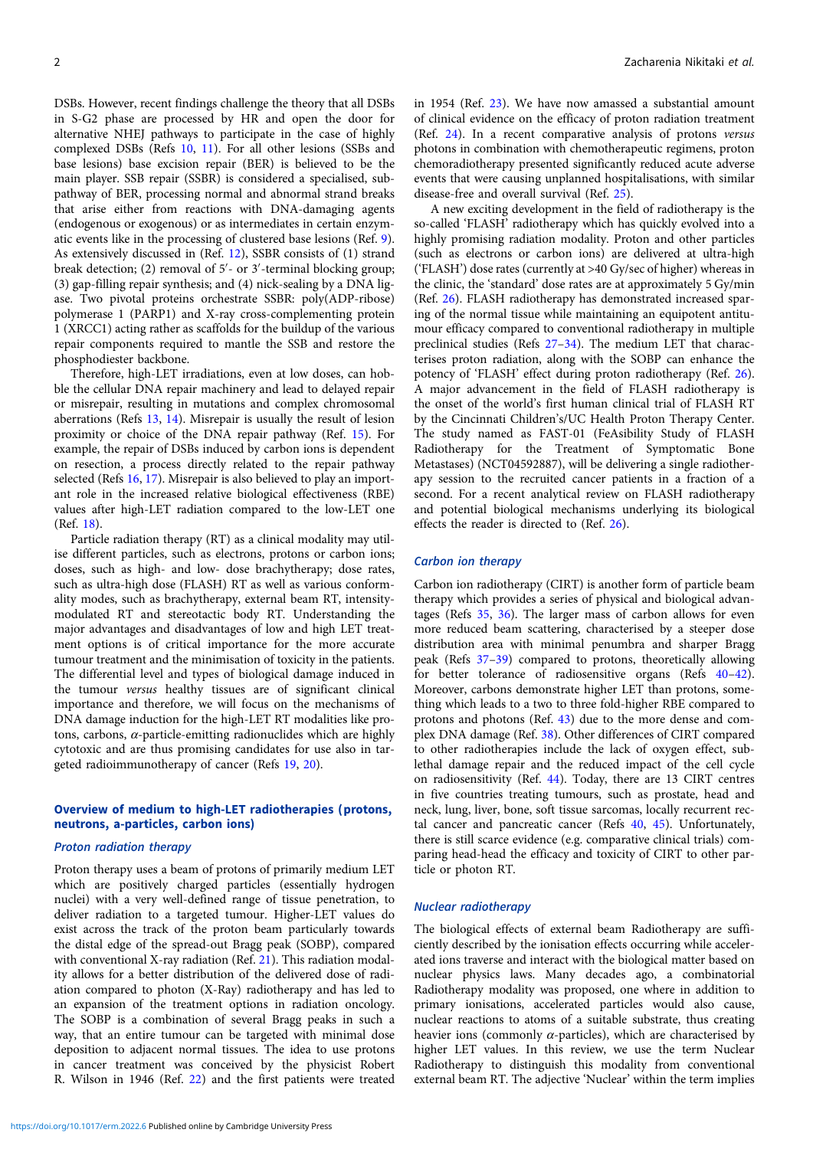DSBs. However, recent findings challenge the theory that all DSBs in S-G2 phase are processed by HR and open the door for alternative NHEJ pathways to participate in the case of highly complexed DSBs (Refs [10](#page-11-0), [11\)](#page-11-0). For all other lesions (SSBs and base lesions) base excision repair (BER) is believed to be the main player. SSB repair (SSBR) is considered a specialised, subpathway of BER, processing normal and abnormal strand breaks that arise either from reactions with DNA-damaging agents (endogenous or exogenous) or as intermediates in certain enzymatic events like in the processing of clustered base lesions (Ref. [9\)](#page-11-0). As extensively discussed in (Ref. [12](#page-11-0)), SSBR consists of (1) strand break detection; (2) removal of 5′ - or 3′ -terminal blocking group; (3) gap-filling repair synthesis; and (4) nick-sealing by a DNA ligase. Two pivotal proteins orchestrate SSBR: poly(ADP-ribose) polymerase 1 (PARP1) and X-ray cross-complementing protein 1 (XRCC1) acting rather as scaffolds for the buildup of the various repair components required to mantle the SSB and restore the phosphodiester backbone.

Therefore, high-LET irradiations, even at low doses, can hobble the cellular DNA repair machinery and lead to delayed repair or misrepair, resulting in mutations and complex chromosomal aberrations (Refs [13](#page-11-0), [14\)](#page-11-0). Misrepair is usually the result of lesion proximity or choice of the DNA repair pathway (Ref. [15\)](#page-11-0). For example, the repair of DSBs induced by carbon ions is dependent on resection, a process directly related to the repair pathway selected (Refs [16](#page-11-0), [17](#page-11-0)). Misrepair is also believed to play an important role in the increased relative biological effectiveness (RBE) values after high-LET radiation compared to the low-LET one (Ref. [18\)](#page-11-0).

Particle radiation therapy (RT) as a clinical modality may utilise different particles, such as electrons, protons or carbon ions; doses, such as high- and low- dose brachytherapy; dose rates, such as ultra-high dose (FLASH) RT as well as various conformality modes, such as brachytherapy, external beam RT, intensitymodulated RT and stereotactic body RT. Understanding the major advantages and disadvantages of low and high LET treatment options is of critical importance for the more accurate tumour treatment and the minimisation of toxicity in the patients. The differential level and types of biological damage induced in the tumour versus healthy tissues are of significant clinical importance and therefore, we will focus on the mechanisms of DNA damage induction for the high-LET RT modalities like protons, carbons,  $\alpha$ -particle-emitting radionuclides which are highly cytotoxic and are thus promising candidates for use also in targeted radioimmunotherapy of cancer (Refs [19,](#page-11-0) [20](#page-11-0)).

# Overview of medium to high-LET radiotherapies (protons, neutrons, a-particles, carbon ions)

#### Proton radiation therapy

Proton therapy uses a beam of protons of primarily medium LET which are positively charged particles (essentially hydrogen nuclei) with a very well-defined range of tissue penetration, to deliver radiation to a targeted tumour. Higher-LET values do exist across the track of the proton beam particularly towards the distal edge of the spread-out Bragg peak (SOBP), compared with conventional X-ray radiation (Ref. [21\)](#page-11-0). This radiation modality allows for a better distribution of the delivered dose of radiation compared to photon (X-Ray) radiotherapy and has led to an expansion of the treatment options in radiation oncology. The SOBP is a combination of several Bragg peaks in such a way, that an entire tumour can be targeted with minimal dose deposition to adjacent normal tissues. The idea to use protons in cancer treatment was conceived by the physicist Robert R. Wilson in 1946 (Ref. [22\)](#page-11-0) and the first patients were treated

in 1954 (Ref. [23\)](#page-11-0). We have now amassed a substantial amount of clinical evidence on the efficacy of proton radiation treatment (Ref. [24](#page-11-0)). In a recent comparative analysis of protons versus photons in combination with chemotherapeutic regimens, proton chemoradiotherapy presented significantly reduced acute adverse events that were causing unplanned hospitalisations, with similar disease-free and overall survival (Ref. [25\)](#page-11-0).

A new exciting development in the field of radiotherapy is the so-called 'FLASH' radiotherapy which has quickly evolved into a highly promising radiation modality. Proton and other particles (such as electrons or carbon ions) are delivered at ultra-high ('FLASH') dose rates (currently at >40 Gy/sec of higher) whereas in the clinic, the 'standard' dose rates are at approximately 5 Gy/min (Ref. [26](#page-11-0)). FLASH radiotherapy has demonstrated increased sparing of the normal tissue while maintaining an equipotent antitumour efficacy compared to conventional radiotherapy in multiple preclinical studies (Refs [27](#page-11-0)–[34](#page-11-0)). The medium LET that characterises proton radiation, along with the SOBP can enhance the potency of 'FLASH' effect during proton radiotherapy (Ref. [26](#page-11-0)). A major advancement in the field of FLASH radiotherapy is the onset of the world's first human clinical trial of FLASH RT by the Cincinnati Children's/UC Health Proton Therapy Center. The study named as FAST-01 (FeAsibility Study of FLASH Radiotherapy for the Treatment of Symptomatic Bone Metastases) (NCT04592887), will be delivering a single radiotherapy session to the recruited cancer patients in a fraction of a second. For a recent analytical review on FLASH radiotherapy and potential biological mechanisms underlying its biological effects the reader is directed to (Ref. [26\)](#page-11-0).

#### Carbon ion therapy

Carbon ion radiotherapy (CIRT) is another form of particle beam therapy which provides a series of physical and biological advantages (Refs [35,](#page-11-0) [36\)](#page-11-0). The larger mass of carbon allows for even more reduced beam scattering, characterised by a steeper dose distribution area with minimal penumbra and sharper Bragg peak (Refs [37](#page-11-0)–[39](#page-11-0)) compared to protons, theoretically allowing for better tolerance of radiosensitive organs (Refs [40](#page-11-0)–[42](#page-11-0)). Moreover, carbons demonstrate higher LET than protons, something which leads to a two to three fold-higher RBE compared to protons and photons (Ref. [43\)](#page-11-0) due to the more dense and complex DNA damage (Ref. [38](#page-11-0)). Other differences of CIRT compared to other radiotherapies include the lack of oxygen effect, sublethal damage repair and the reduced impact of the cell cycle on radiosensitivity (Ref. [44\)](#page-11-0). Today, there are 13 CIRT centres in five countries treating tumours, such as prostate, head and neck, lung, liver, bone, soft tissue sarcomas, locally recurrent rectal cancer and pancreatic cancer (Refs [40](#page-11-0), [45](#page-11-0)). Unfortunately, there is still scarce evidence (e.g. comparative clinical trials) comparing head-head the efficacy and toxicity of CIRT to other particle or photon RT.

#### Nuclear radiotherapy

The biological effects of external beam Radiotherapy are sufficiently described by the ionisation effects occurring while accelerated ions traverse and interact with the biological matter based on nuclear physics laws. Many decades ago, a combinatorial Radiotherapy modality was proposed, one where in addition to primary ionisations, accelerated particles would also cause, nuclear reactions to atoms of a suitable substrate, thus creating heavier ions (commonly  $\alpha$ -particles), which are characterised by higher LET values. In this review, we use the term Nuclear Radiotherapy to distinguish this modality from conventional external beam RT. The adjective 'Nuclear' within the term implies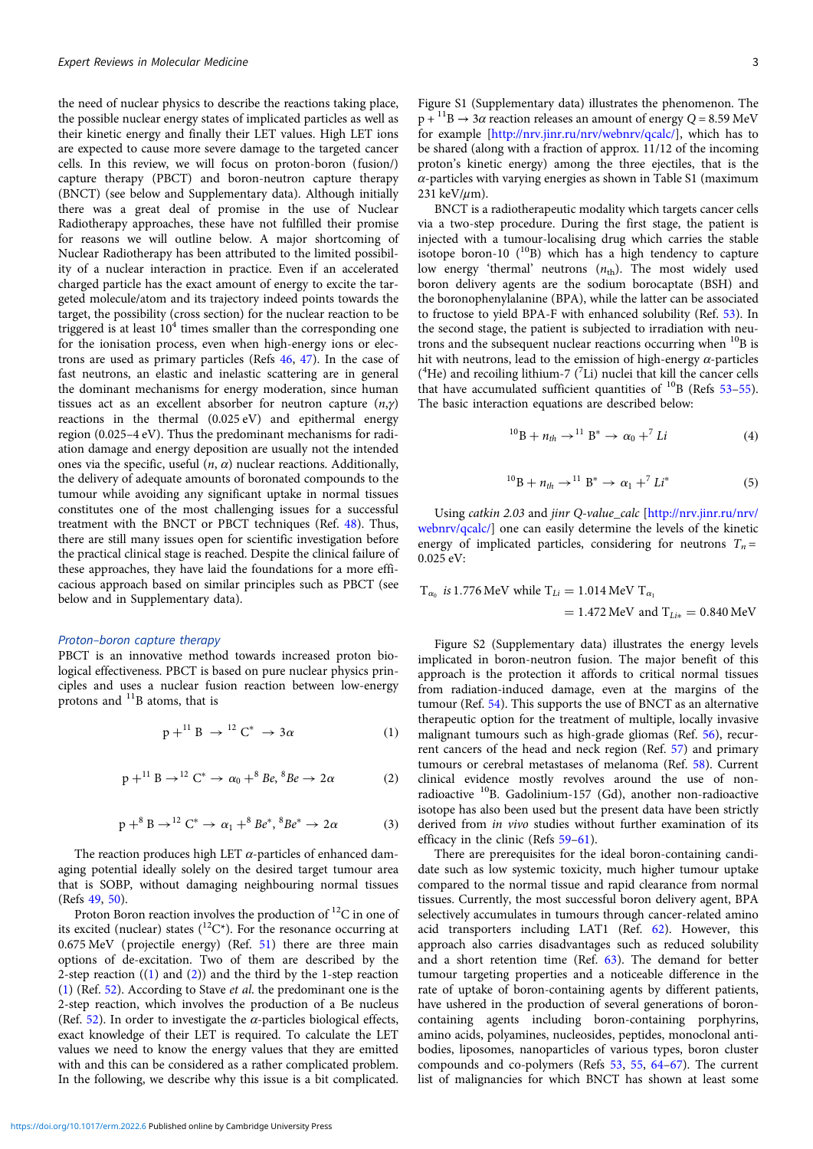the need of nuclear physics to describe the reactions taking place, the possible nuclear energy states of implicated particles as well as their kinetic energy and finally their LET values. High LET ions are expected to cause more severe damage to the targeted cancer cells. In this review, we will focus on proton-boron (fusion/) capture therapy (PBCT) and boron-neutron capture therapy (BNCT) (see below and Supplementary data). Although initially there was a great deal of promise in the use of Nuclear Radiotherapy approaches, these have not fulfilled their promise for reasons we will outline below. A major shortcoming of Nuclear Radiotherapy has been attributed to the limited possibility of a nuclear interaction in practice. Even if an accelerated charged particle has the exact amount of energy to excite the targeted molecule/atom and its trajectory indeed points towards the target, the possibility (cross section) for the nuclear reaction to be triggered is at least  $10<sup>4</sup>$  times smaller than the corresponding one for the ionisation process, even when high-energy ions or electrons are used as primary particles (Refs [46](#page-11-0), [47\)](#page-11-0). In the case of fast neutrons, an elastic and inelastic scattering are in general the dominant mechanisms for energy moderation, since human tissues act as an excellent absorber for neutron capture  $(n, \gamma)$ reactions in the thermal (0.025 eV) and epithermal energy region (0.025–4 eV). Thus the predominant mechanisms for radiation damage and energy deposition are usually not the intended ones via the specific, useful  $(n, \alpha)$  nuclear reactions. Additionally, the delivery of adequate amounts of boronated compounds to the tumour while avoiding any significant uptake in normal tissues constitutes one of the most challenging issues for a successful treatment with the BNCT or PBCT techniques (Ref. [48](#page-11-0)). Thus, there are still many issues open for scientific investigation before the practical clinical stage is reached. Despite the clinical failure of these approaches, they have laid the foundations for a more efficacious approach based on similar principles such as PBCT (see below and in Supplementary data).

#### Proton–boron capture therapy

PBCT is an innovative method towards increased proton biological effectiveness. PBCT is based on pure nuclear physics principles and uses a nuclear fusion reaction between low-energy protons and  $^{11}$ B atoms, that is

$$
p + {}^{11}B \rightarrow {}^{12}C^* \rightarrow 3\alpha
$$
 (1)

$$
p + {}^{11}B \rightarrow {}^{12}C^* \rightarrow \alpha_0 + {}^8Be, {}^8Be \rightarrow 2\alpha
$$
 (2)

$$
p + ^8 B \to ^{12} C^* \to \alpha_1 + ^8 B e^*, ^8 B e^* \to 2\alpha
$$
 (3)

The reaction produces high LET  $\alpha$ -particles of enhanced damaging potential ideally solely on the desired target tumour area that is SOBP, without damaging neighbouring normal tissues (Refs [49,](#page-11-0) [50](#page-11-0)).

Proton Boron reaction involves the production of  ${}^{12}C$  in one of its excited (nuclear) states  $(^{12}C^*)$ . For the resonance occurring at 0.675 MeV (projectile energy) (Ref. [51\)](#page-11-0) there are three main options of de-excitation. Two of them are described by the 2-step reaction  $((1)$  and  $(2))$  and the third by the 1-step reaction (1) (Ref. [52\)](#page-11-0). According to Stave et al. the predominant one is the 2-step reaction, which involves the production of a Be nucleus (Ref. [52](#page-11-0)). In order to investigate the  $\alpha$ -particles biological effects, exact knowledge of their LET is required. To calculate the LET values we need to know the energy values that they are emitted with and this can be considered as a rather complicated problem. In the following, we describe why this issue is a bit complicated.

Figure S1 (Supplementary data) illustrates the phenomenon. The  $p + {}^{11}B \rightarrow 3\alpha$  reaction releases an amount of energy  $Q = 8.59$  MeV for example [[http://nrv.jinr.ru/nrv/webnrv/qcalc/\]](http://nrv.jinr.ru/nrv/webnrv/qcalc/), which has to be shared (along with a fraction of approx. 11/12 of the incoming proton's kinetic energy) among the three ejectiles, that is the  $\alpha$ -particles with varying energies as shown in Table S1 (maximum 231 keV/ $\mu$ m).

BNCT is a radiotherapeutic modality which targets cancer cells via a two-step procedure. During the first stage, the patient is injected with a tumour-localising drug which carries the stable isotope boron-10  $(^{10}B)$  which has a high tendency to capture low energy 'thermal' neutrons  $(n_{\text{th}})$ . The most widely used boron delivery agents are the sodium borocaptate (BSH) and the boronophenylalanine (BPA), while the latter can be associated to fructose to yield BPA-F with enhanced solubility (Ref. [53\)](#page-11-0). In the second stage, the patient is subjected to irradiation with neutrons and the subsequent nuclear reactions occurring when  $^{10}$ B is hit with neutrons, lead to the emission of high-energy  $\alpha$ -particles ( ${}^{4}$ He) and recoiling lithium-7 ( ${}^{7}$ Li) nuclei that kill the cancer cells that have accumulated sufficient quantities of  $^{10}$ B (Refs [53](#page-11-0)-[55](#page-11-0)). The basic interaction equations are described below:

$$
{}^{10}B + n_{th} \rightarrow {}^{11}B^* \rightarrow \alpha_0 + {}^{7}Li
$$
 (4)

$$
{}^{10}B + n_{th} \rightarrow {}^{11}B^* \rightarrow \alpha_1 + {}^{7}Li^*
$$
 (5)

Using catkin 2.03 and jinr Q-value\_calc [\[http://nrv.jinr.ru/nrv/](http://nrv.jinr.ru/nrv/webnrv/qcalc/) [webnrv/qcalc/\]](http://nrv.jinr.ru/nrv/webnrv/qcalc/) one can easily determine the levels of the kinetic energy of implicated particles, considering for neutrons  $T_n =$ 0.025 eV:

T<sub>$$
\alpha_0
$$</sub> is 1.776 MeV while T<sub>Li</sub> = 1.014 MeV T <sub>$\alpha_1$</sub>   
= 1.472 MeV and T<sub>Li\*</sub> = 0.840 MeV

Figure S2 (Supplementary data) illustrates the energy levels implicated in boron-neutron fusion. The major benefit of this approach is the protection it affords to critical normal tissues from radiation-induced damage, even at the margins of the tumour (Ref. [54\)](#page-11-0). This supports the use of BNCT as an alternative therapeutic option for the treatment of multiple, locally invasive malignant tumours such as high-grade gliomas (Ref. [56\)](#page-11-0), recurrent cancers of the head and neck region (Ref. [57\)](#page-11-0) and primary tumours or cerebral metastases of melanoma (Ref. [58\)](#page-11-0). Current clinical evidence mostly revolves around the use of nonradioactive 10B. Gadolinium-157 (Gd), another non-radioactive isotope has also been used but the present data have been strictly derived from in vivo studies without further examination of its efficacy in the clinic (Refs [59](#page-11-0)–[61](#page-11-0)).

There are prerequisites for the ideal boron-containing candidate such as low systemic toxicity, much higher tumour uptake compared to the normal tissue and rapid clearance from normal tissues. Currently, the most successful boron delivery agent, BPA selectively accumulates in tumours through cancer-related amino acid transporters including LAT1 (Ref. [62\)](#page-11-0). However, this approach also carries disadvantages such as reduced solubility and a short retention time (Ref. [63\)](#page-12-0). The demand for better tumour targeting properties and a noticeable difference in the rate of uptake of boron-containing agents by different patients, have ushered in the production of several generations of boroncontaining agents including boron-containing porphyrins, amino acids, polyamines, nucleosides, peptides, monoclonal antibodies, liposomes, nanoparticles of various types, boron cluster compounds and co-polymers (Refs [53,](#page-11-0) [55](#page-11-0), [64](#page-12-0)–[67](#page-12-0)). The current list of malignancies for which BNCT has shown at least some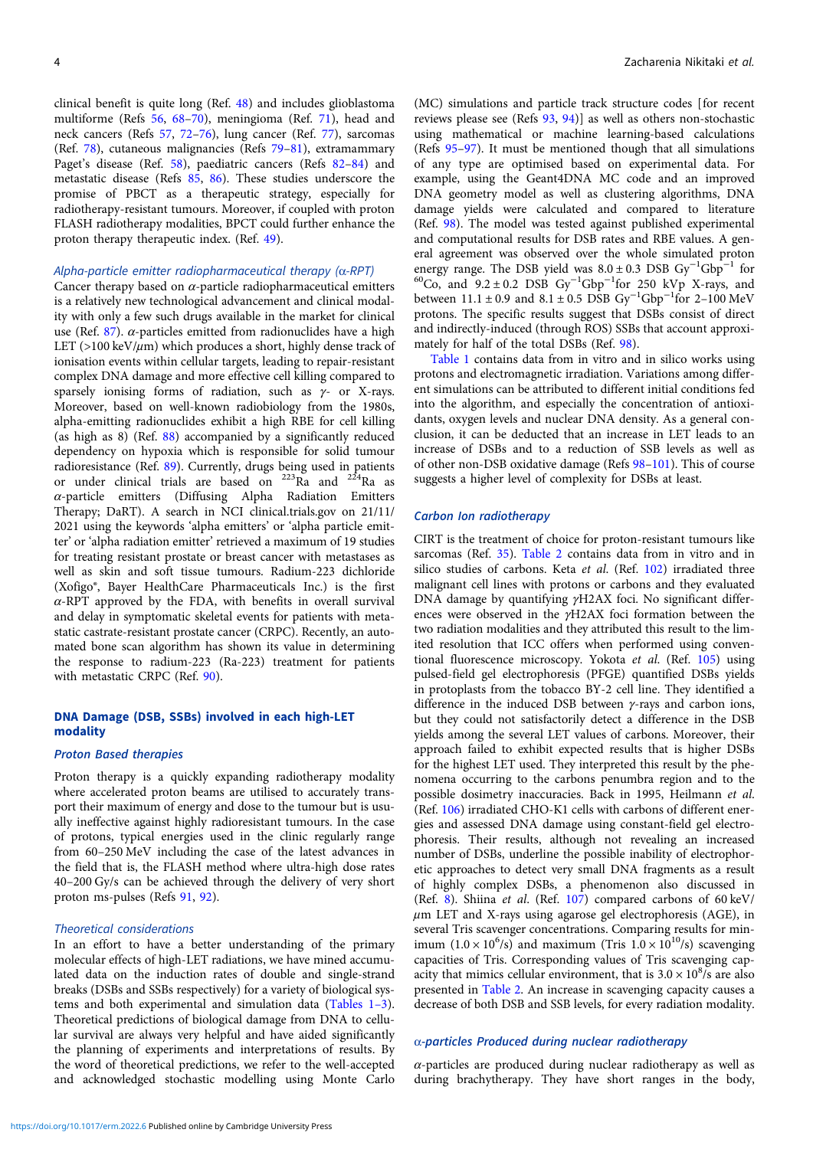clinical benefit is quite long (Ref. [48\)](#page-11-0) and includes glioblastoma multiforme (Refs [56,](#page-11-0) [68](#page-12-0)–[70](#page-12-0)), meningioma (Ref. [71\)](#page-12-0), head and neck cancers (Refs [57,](#page-11-0) [72](#page-12-0)–[76\)](#page-12-0), lung cancer (Ref. [77\)](#page-12-0), sarcomas (Ref. [78\)](#page-12-0), cutaneous malignancies (Refs [79](#page-12-0)–[81\)](#page-12-0), extramammary Paget's disease (Ref. [58\)](#page-11-0), paediatric cancers (Refs [82](#page-12-0)–[84\)](#page-12-0) and metastatic disease (Refs [85,](#page-12-0) [86\)](#page-12-0). These studies underscore the promise of PBCT as a therapeutic strategy, especially for radiotherapy-resistant tumours. Moreover, if coupled with proton FLASH radiotherapy modalities, BPCT could further enhance the proton therapy therapeutic index. (Ref. [49](#page-11-0)).

#### Alpha-particle emitter radiopharmaceutical therapy  $(\alpha$ -RPT)

Cancer therapy based on  $\alpha$ -particle radiopharmaceutical emitters is a relatively new technological advancement and clinical modality with only a few such drugs available in the market for clinical use (Ref. [87](#page-12-0)).  $\alpha$ -particles emitted from radionuclides have a high LET ( $>100 \text{ keV}/\mu \text{m}$ ) which produces a short, highly dense track of ionisation events within cellular targets, leading to repair-resistant complex DNA damage and more effective cell killing compared to sparsely ionising forms of radiation, such as  $\gamma$ - or X-rays. Moreover, based on well-known radiobiology from the 1980s, alpha-emitting radionuclides exhibit a high RBE for cell killing (as high as 8) (Ref. [88](#page-12-0)) accompanied by a significantly reduced dependency on hypoxia which is responsible for solid tumour radioresistance (Ref. [89](#page-12-0)). Currently, drugs being used in patients or under clinical trials are based on  $223\text{R}$  and  $224\text{R}$  as  $α$ -particle emitters (Diffusing Alpha Radiation Emitters Therapy; DaRT). A search in NCI clinical.trials.gov on 21/11/ 2021 using the keywords 'alpha emitters' or 'alpha particle emitter' or 'alpha radiation emitter' retrieved a maximum of 19 studies for treating resistant prostate or breast cancer with metastases as well as skin and soft tissue tumours. Radium-223 dichloride (Xofigo®, Bayer HealthCare Pharmaceuticals Inc.) is the first  $\alpha$ -RPT approved by the FDA, with benefits in overall survival and delay in symptomatic skeletal events for patients with metastatic castrate-resistant prostate cancer (CRPC). Recently, an automated bone scan algorithm has shown its value in determining the response to radium-223 (Ra-223) treatment for patients with metastatic CRPC (Ref. [90\)](#page-12-0).

#### DNA Damage (DSB, SSBs) involved in each high-LET modality

#### Proton Based therapies

Proton therapy is a quickly expanding radiotherapy modality where accelerated proton beams are utilised to accurately transport their maximum of energy and dose to the tumour but is usually ineffective against highly radioresistant tumours. In the case of protons, typical energies used in the clinic regularly range from 60–250 MeV including the case of the latest advances in the field that is, the FLASH method where ultra-high dose rates 40–200 Gy/s can be achieved through the delivery of very short proton ms-pulses (Refs [91,](#page-12-0) [92](#page-12-0)).

#### Theoretical considerations

In an effort to have a better understanding of the primary molecular effects of high-LET radiations, we have mined accumulated data on the induction rates of double and single-strand breaks (DSBs and SSBs respectively) for a variety of biological systems and both experimental and simulation data (Tables 1–3). Theoretical predictions of biological damage from DNA to cellular survival are always very helpful and have aided significantly the planning of experiments and interpretations of results. By the word of theoretical predictions, we refer to the well-accepted and acknowledged stochastic modelling using Monte Carlo

(MC) simulations and particle track structure codes [for recent reviews please see (Refs [93,](#page-12-0) [94](#page-12-0))] as well as others non-stochastic using mathematical or machine learning-based calculations (Refs [95](#page-12-0)–[97](#page-12-0)). It must be mentioned though that all simulations of any type are optimised based on experimental data. For example, using the Geant4DNA MC code and an improved DNA geometry model as well as clustering algorithms, DNA damage yields were calculated and compared to literature (Ref. [98\)](#page-12-0). The model was tested against published experimental and computational results for DSB rates and RBE values. A general agreement was observed over the whole simulated proton energy range. The DSB yield was  $8.0 \pm 0.3$  DSB Gy<sup>-1</sup>Gbp<sup>-1</sup> for energy range. The DSB yield was  $8.0 \pm 0.3$  DSB  $\text{Gy}^{-1}\text{Gbp}^{-1}$  for  $^{60}\text{Co}$ , and  $9.2 \pm 0.2$  DSB  $\text{Gy}^{-1}\text{Gbp}^{-1}$  for 250 kVp X-rays, and between 11.1 ± 0.9 and  $8.1 \pm 0.5$  DSB Gy<sup>-1</sup>Gbp<sup>-1</sup>for 2-100 MeV protons. The specific results suggest that DSBs consist of direct and indirectly-induced (through ROS) SSBs that account approximately for half of the total DSBs (Ref. [98](#page-12-0)).

[Table 1](#page-4-0) contains data from in vitro and in silico works using protons and electromagnetic irradiation. Variations among different simulations can be attributed to different initial conditions fed into the algorithm, and especially the concentration of antioxidants, oxygen levels and nuclear DNA density. As a general conclusion, it can be deducted that an increase in LET leads to an increase of DSBs and to a reduction of SSB levels as well as of other non-DSB oxidative damage (Refs [98](#page-12-0)–[101](#page-12-0)). This of course suggests a higher level of complexity for DSBs at least.

#### Carbon Ion radiotherapy

CIRT is the treatment of choice for proton-resistant tumours like sarcomas (Ref. [35\)](#page-11-0). [Table 2](#page-5-0) contains data from in vitro and in silico studies of carbons. Keta et al. (Ref. [102\)](#page-12-0) irradiated three malignant cell lines with protons or carbons and they evaluated DNA damage by quantifying γH2AX foci. No significant differences were observed in the γH2AX foci formation between the two radiation modalities and they attributed this result to the limited resolution that ICC offers when performed using conventional fluorescence microscopy. Yokota et al. (Ref. [105](#page-12-0)) using pulsed-field gel electrophoresis (PFGE) quantified DSBs yields in protoplasts from the tobacco BY-2 cell line. They identified a difference in the induced DSB between γ-rays and carbon ions, but they could not satisfactorily detect a difference in the DSB yields among the several LET values of carbons. Moreover, their approach failed to exhibit expected results that is higher DSBs for the highest LET used. They interpreted this result by the phenomena occurring to the carbons penumbra region and to the possible dosimetry inaccuracies. Back in 1995, Heilmann et al. (Ref. [106](#page-12-0)) irradiated CHO-K1 cells with carbons of different energies and assessed DNA damage using constant-field gel electrophoresis. Their results, although not revealing an increased number of DSBs, underline the possible inability of electrophoretic approaches to detect very small DNA fragments as a result of highly complex DSBs, a phenomenon also discussed in (Ref. [8\)](#page-11-0). Shiina et al. (Ref. [107\)](#page-12-0) compared carbons of 60 keV/  $\mu$ m LET and X-rays using agarose gel electrophoresis (AGE), in several Tris scavenger concentrations. Comparing results for minimum  $(1.0 \times 10^6/s)$  and maximum (Tris  $1.0 \times 10^{10/s}$ ) scavenging capacities of Tris. Corresponding values of Tris scavenging capacity that mimics cellular environment, that is  $3.0 \times 10^8$ /s are also presented in [Table 2](#page-5-0). An increase in scavenging capacity causes a decrease of both DSB and SSB levels, for every radiation modality.

### α-particles Produced during nuclear radiotherapy

α-particles are produced during nuclear radiotherapy as well as during brachytherapy. They have short ranges in the body,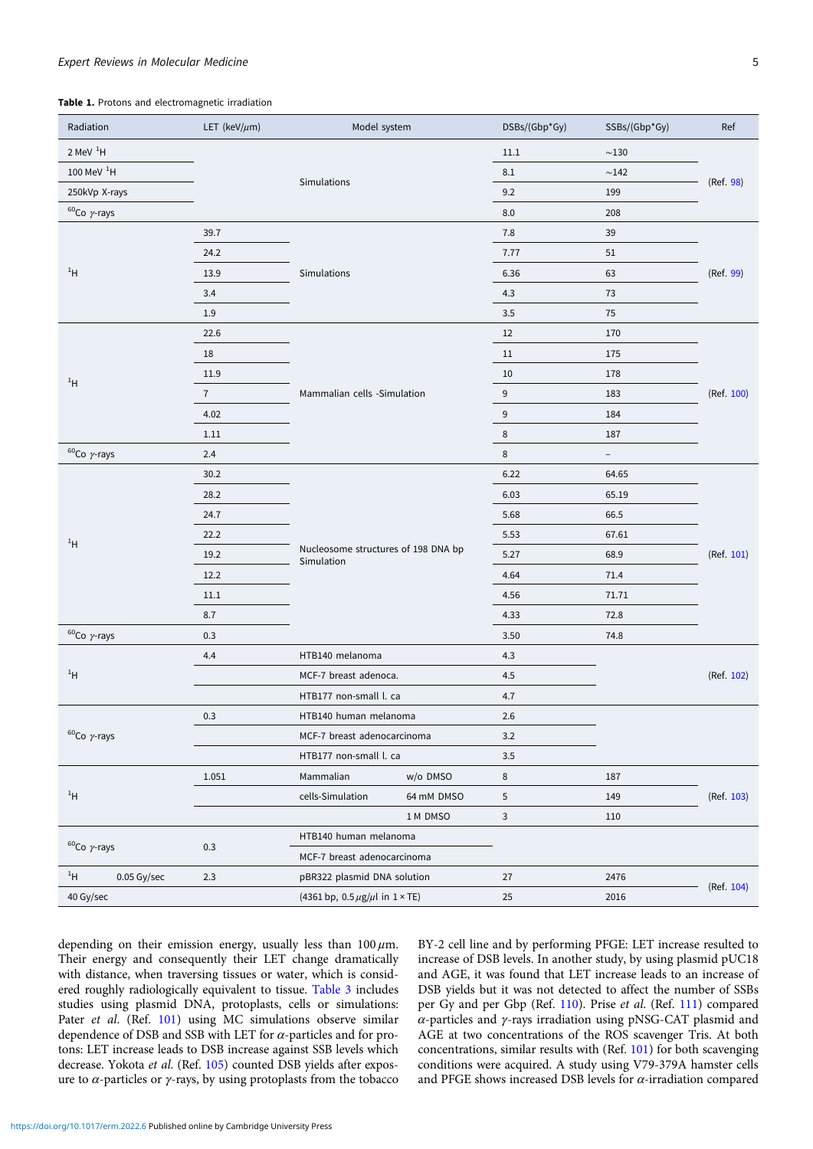#### <span id="page-4-0"></span>Expert Reviews in Molecular Medicine 55 and 2008 5 and 2008 5 and 2008 5 and 2008 5 and 2008 5 and 2008 5 and 2008 5 and 2008 5 and 2008 7 and 2008 7 and 2008 7 and 2008 7 and 2008 7 and 2008 7 and 2008 7 and 2008 7 and 20

#### Table 1. Protons and electromagnetic irradiation

| Radiation                    | LET (keV/ $\mu$ m)                 | Model system                                          |                                                    | DSBs/(Gbp*Gy)    | SSBs/(Gbp*Gy)            | Ref        |
|------------------------------|------------------------------------|-------------------------------------------------------|----------------------------------------------------|------------------|--------------------------|------------|
| $2$ MeV $^{1}$ H             |                                    |                                                       |                                                    |                  | ${\sim}130$              |            |
| 100 MeV $^{1}$ H             |                                    |                                                       |                                                    | 8.1              | ~142                     |            |
| Simulations<br>250kVp X-rays |                                    |                                                       |                                                    | 9.2              | 199                      | (Ref. 98)  |
| $60$ Co $\gamma$ -rays       |                                    |                                                       |                                                    | 8.0              | 208                      |            |
|                              | 39.7                               |                                                       |                                                    | 7.8              | 39                       |            |
| $1$ H                        | 24.2                               |                                                       |                                                    | 7.77             | 51                       |            |
|                              | 13.9                               | Simulations                                           |                                                    | 6.36             | 63                       | (Ref. 99)  |
|                              | 3.4                                |                                                       |                                                    | 4.3              | 73                       |            |
|                              | 1.9                                |                                                       |                                                    | 3.5              | 75                       |            |
|                              | 22.6                               |                                                       |                                                    | 12               | 170                      |            |
|                              | 18                                 |                                                       |                                                    | 11               | 175                      |            |
|                              | 11.9                               |                                                       |                                                    | $10\,$           | 178                      |            |
| $1$ H                        | $\overline{7}$                     | Mammalian cells -Simulation                           |                                                    | 9                | 183                      | (Ref. 100) |
|                              | 4.02                               |                                                       |                                                    | $\boldsymbol{9}$ | 184                      |            |
|                              | $1.11$                             |                                                       |                                                    | 8                | 187                      |            |
| $60$ Co $\gamma$ -rays       | 2.4                                |                                                       |                                                    | 8                | $\overline{\phantom{a}}$ |            |
|                              | 30.2                               |                                                       |                                                    | 6.22             | 64.65                    |            |
|                              | 28.2                               |                                                       |                                                    | 6.03             | 65.19                    |            |
|                              | 24.7                               |                                                       |                                                    | 5.68             | 66.5                     | (Ref. 101) |
|                              | 22.2                               |                                                       |                                                    | 5.53             | 67.61                    |            |
| $1$ H                        | 19.2                               | Nucleosome structures of 198 DNA bp<br>Simulation     |                                                    | 5.27             | 68.9                     |            |
|                              | 12.2                               |                                                       |                                                    | 4.64             | 71.4                     |            |
|                              | 11.1                               |                                                       |                                                    | 4.56             | 71.71                    |            |
|                              | 8.7                                |                                                       |                                                    | 4.33             | 72.8                     |            |
| $60$ Co $\gamma$ -rays       | 0.3                                |                                                       |                                                    | 3.50             | 74.8                     |            |
|                              | 4.4                                | HTB140 melanoma<br>MCF-7 breast adenoca.              |                                                    | 4.3              |                          | (Ref. 102) |
| $1$ H                        |                                    |                                                       |                                                    | 4.5              |                          |            |
|                              |                                    | HTB177 non-small l. ca                                |                                                    | 4.7              |                          |            |
| $60$ Co $\gamma$ -rays       | 0.3                                | HTB140 human melanoma                                 |                                                    | 2.6              |                          |            |
|                              |                                    | MCF-7 breast adenocarcinoma<br>HTB177 non-small l. ca |                                                    | 3.2              |                          |            |
|                              |                                    |                                                       |                                                    | 3.5              |                          |            |
|                              | 1.051                              | Mammalian                                             | w/o DMSO                                           | 8                | 187                      |            |
| $1$ H                        |                                    | cells-Simulation                                      | 64 mM DMSO                                         | 5                | 149                      | (Ref. 103) |
|                              |                                    |                                                       | 1 M DMSO                                           | 3                | 110                      |            |
| $60$ Co $\gamma$ -rays       | 0.3                                | HTB140 human melanoma<br>MCF-7 breast adenocarcinoma  |                                                    |                  |                          |            |
|                              |                                    |                                                       |                                                    |                  |                          |            |
| 1H<br>0.05 Gy/sec            | 2.3<br>pBR322 plasmid DNA solution |                                                       |                                                    | 27               | 2476                     |            |
| 40 Gy/sec                    |                                    |                                                       | (4361 bp, $0.5 \,\mu$ g/ $\mu$ l in $1 \times$ TE) |                  | 2016                     | (Ref. 104) |

depending on their emission energy, usually less than  $100 \mu$ m. Their energy and consequently their LET change dramatically with distance, when traversing tissues or water, which is considered roughly radiologically equivalent to tissue. [Table 3](#page-6-0) includes studies using plasmid DNA, protoplasts, cells or simulations: Pater et al. (Ref. [101](#page-12-0)) using MC simulations observe similar dependence of DSB and SSB with LET for  $\alpha$ -particles and for protons: LET increase leads to DSB increase against SSB levels which decrease. Yokota et al. (Ref. [105](#page-12-0)) counted DSB yields after exposure to  $α$ -particles or  $γ$ -rays, by using protoplasts from the tobacco BY-2 cell line and by performing PFGE: LET increase resulted to increase of DSB levels. In another study, by using plasmid pUC18 and AGE, it was found that LET increase leads to an increase of DSB yields but it was not detected to affect the number of SSBs per Gy and per Gbp (Ref. [110\)](#page-12-0). Prise et al. (Ref. [111](#page-12-0)) compared α-particles and γ-rays irradiation using pNSG-CAT plasmid and AGE at two concentrations of the ROS scavenger Tris. At both concentrations, similar results with (Ref. [101](#page-12-0)) for both scavenging conditions were acquired. A study using V79-379A hamster cells and PFGE shows increased DSB levels for  $\alpha$ -irradiation compared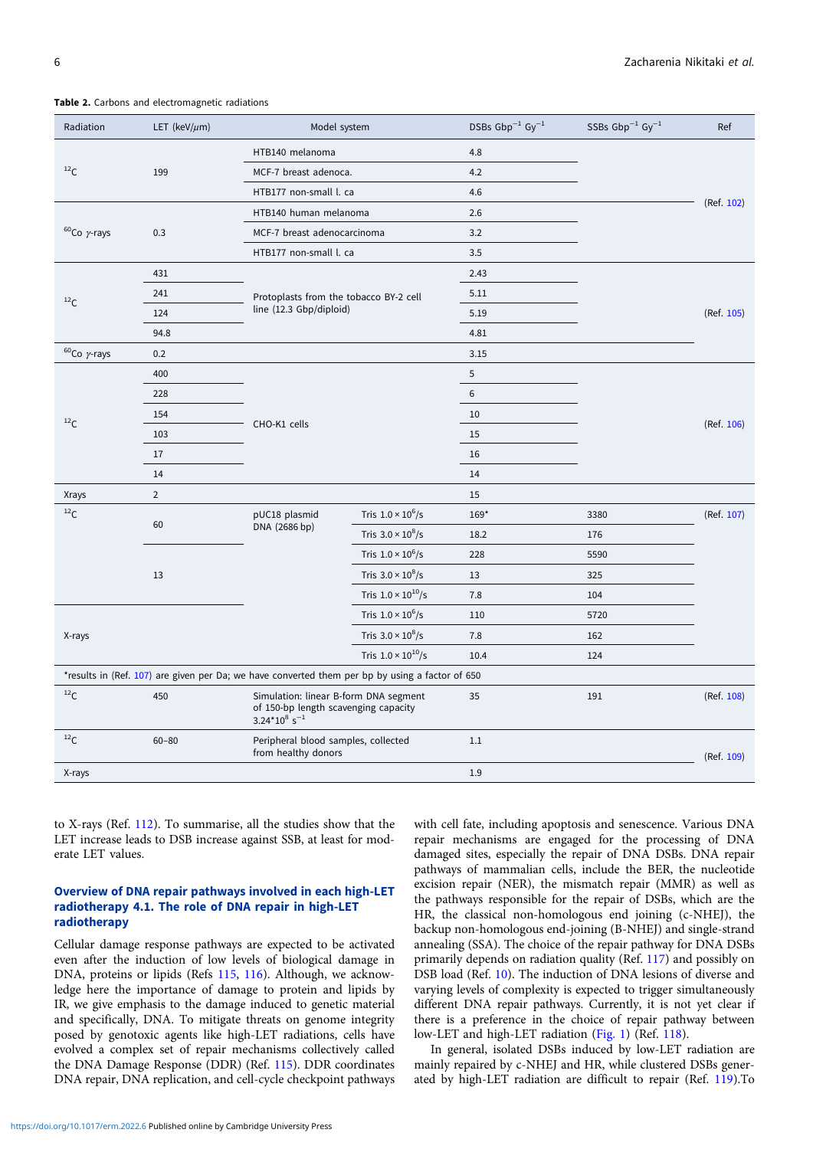| Radiation                                                                                       | LET (keV/ $\mu$ m) | Model system                                                                                                 |                               | DSBs $Gbp^{-1} Gy^{-1}$ | SSBs $Gbp^{-1} Gy^{-1}$ | Ref        |  |
|-------------------------------------------------------------------------------------------------|--------------------|--------------------------------------------------------------------------------------------------------------|-------------------------------|-------------------------|-------------------------|------------|--|
|                                                                                                 |                    | HTB140 melanoma                                                                                              |                               | 4.8                     |                         |            |  |
| $^{12}\mathrm{C}$                                                                               | 199                | MCF-7 breast adenoca.                                                                                        |                               | 4.2                     |                         |            |  |
|                                                                                                 |                    | HTB177 non-small l. ca                                                                                       |                               | 4.6                     |                         |            |  |
| $60$ Co $\gamma$ -rays                                                                          |                    |                                                                                                              | HTB140 human melanoma         |                         |                         | (Ref. 102) |  |
|                                                                                                 | 0.3                | MCF-7 breast adenocarcinoma                                                                                  |                               | 3.2                     |                         |            |  |
|                                                                                                 |                    |                                                                                                              | HTB177 non-small l. ca<br>3.5 |                         |                         |            |  |
|                                                                                                 | 431                |                                                                                                              |                               | 2.43                    |                         |            |  |
| $^{12}$ C                                                                                       | 241                | Protoplasts from the tobacco BY-2 cell                                                                       |                               | 5.11                    |                         |            |  |
|                                                                                                 | 124                | line (12.3 Gbp/diploid)                                                                                      |                               | 5.19                    |                         | (Ref. 105) |  |
|                                                                                                 | 94.8               |                                                                                                              |                               | 4.81                    |                         |            |  |
| $60$ Co $\gamma$ -rays                                                                          | 0.2                |                                                                                                              |                               | 3.15                    |                         |            |  |
|                                                                                                 | 400                |                                                                                                              |                               | 5                       |                         |            |  |
|                                                                                                 | 228                |                                                                                                              |                               | 6                       |                         |            |  |
| $^{12}$ C                                                                                       | 154                |                                                                                                              |                               | 10                      |                         |            |  |
|                                                                                                 | 103                | CHO-K1 cells                                                                                                 |                               | 15                      |                         | (Ref. 106) |  |
|                                                                                                 | 17                 |                                                                                                              |                               | 16                      |                         |            |  |
|                                                                                                 | 14                 |                                                                                                              |                               | 14                      |                         |            |  |
| <b>Xrays</b>                                                                                    | $\overline{2}$     |                                                                                                              |                               | 15                      |                         |            |  |
| 12 <sub>C</sub>                                                                                 | 60                 | pUC18 plasmid<br>DNA (2686 bp)                                                                               | Tris $1.0 \times 10^6$ /s     | 169*                    | 3380                    | (Ref. 107) |  |
|                                                                                                 |                    |                                                                                                              | Tris $3.0 \times 10^8$ /s     | 18.2                    | 176                     |            |  |
|                                                                                                 | 13                 |                                                                                                              | Tris $1.0 \times 10^6$ /s     | 228                     | 5590                    |            |  |
|                                                                                                 |                    |                                                                                                              | Tris $3.0 \times 10^8$ /s     | 13                      | 325                     |            |  |
|                                                                                                 |                    |                                                                                                              | Tris $1.0 \times 10^{10}$ /s  | 7.8                     | 104                     |            |  |
| X-rays                                                                                          |                    |                                                                                                              | Tris $1.0 \times 10^6$ /s     | 110                     | 5720                    |            |  |
|                                                                                                 |                    |                                                                                                              | Tris $3.0 \times 10^8$ /s     | 7.8                     | 162                     |            |  |
|                                                                                                 |                    |                                                                                                              | Tris $1.0 \times 10^{10}$ /s  | 10.4                    | 124                     |            |  |
| *results in (Ref. 107) are given per Da; we have converted them per bp by using a factor of 650 |                    |                                                                                                              |                               |                         |                         |            |  |
| $^{12}$ C                                                                                       | 450                | Simulation: linear B-form DNA segment<br>of 150-bp length scavenging capacity<br>$3.24*10^8$ s <sup>-1</sup> |                               | 35                      | 191                     | (Ref. 108) |  |
| $^{12}\mathrm{C}$                                                                               | $60 - 80$          | Peripheral blood samples, collected<br>from healthy donors                                                   |                               | 1.1                     |                         | (Ref. 109) |  |
| X-rays                                                                                          |                    |                                                                                                              |                               | 1.9                     |                         |            |  |

<span id="page-5-0"></span>Table 2. Carbons and electromagnetic radiations

to X-rays (Ref. [112](#page-13-0)). To summarise, all the studies show that the LET increase leads to DSB increase against SSB, at least for moderate LET values.

# Overview of DNA repair pathways involved in each high-LET radiotherapy 4.1. The role of DNA repair in high-LET radiotherapy

Cellular damage response pathways are expected to be activated even after the induction of low levels of biological damage in DNA, proteins or lipids (Refs [115](#page-13-0), [116\)](#page-13-0). Although, we acknowledge here the importance of damage to protein and lipids by IR, we give emphasis to the damage induced to genetic material and specifically, DNA. To mitigate threats on genome integrity posed by genotoxic agents like high-LET radiations, cells have evolved a complex set of repair mechanisms collectively called the DNA Damage Response (DDR) (Ref. [115](#page-13-0)). DDR coordinates DNA repair, DNA replication, and cell-cycle checkpoint pathways

with cell fate, including apoptosis and senescence. Various DNA repair mechanisms are engaged for the processing of DNA damaged sites, especially the repair of DNA DSBs. DNA repair pathways of mammalian cells, include the BER, the nucleotide excision repair (NER), the mismatch repair (MMR) as well as the pathways responsible for the repair of DSBs, which are the HR, the classical non-homologous end joining (c-NHEJ), the backup non-homologous end-joining (B-NHEJ) and single-strand annealing (SSA). The choice of the repair pathway for DNA DSBs primarily depends on radiation quality (Ref. [117](#page-13-0)) and possibly on DSB load (Ref. [10\)](#page-11-0). The induction of DNA lesions of diverse and varying levels of complexity is expected to trigger simultaneously different DNA repair pathways. Currently, it is not yet clear if there is a preference in the choice of repair pathway between low-LET and high-LET radiation ([Fig. 1](#page-6-0)) (Ref. [118](#page-13-0)).

In general, isolated DSBs induced by low-LET radiation are mainly repaired by c-NHEJ and HR, while clustered DSBs generated by high-LET radiation are difficult to repair (Ref. [119\)](#page-13-0).To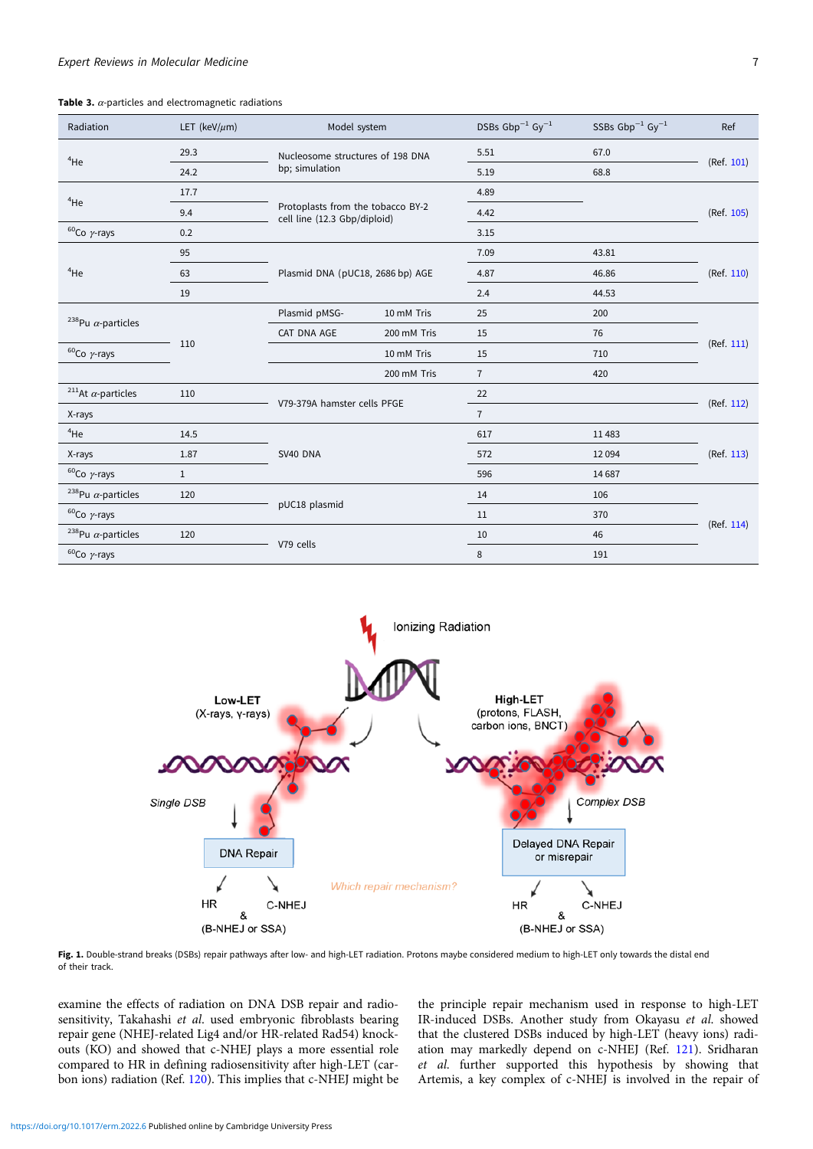<span id="page-6-0"></span>Table 3.  $\alpha$ -particles and electromagnetic radiations

| Radiation                             | LET (keV/ $\mu$ m) |                                  | Model system                                                      |                | SSBs $Gbp^{-1} Gy^{-1}$ | Ref        |
|---------------------------------------|--------------------|----------------------------------|-------------------------------------------------------------------|----------------|-------------------------|------------|
| $4$ He                                | 29.3               | Nucleosome structures of 198 DNA |                                                                   | 5.51           | 67.0                    | (Ref. 101) |
|                                       | 24.2               | bp; simulation                   |                                                                   |                | 68.8                    |            |
| $4$ He                                | 17.7               |                                  |                                                                   | 4.89           |                         | (Ref. 105) |
|                                       | 9.4                |                                  | Protoplasts from the tobacco BY-2<br>cell line (12.3 Gbp/diploid) |                |                         |            |
| $60$ Co $\gamma$ -rays                | 0.2                |                                  |                                                                   |                |                         |            |
|                                       | 95                 |                                  |                                                                   | 7.09           | 43.81                   |            |
| $4$ He                                | 63                 |                                  | Plasmid DNA (pUC18, 2686 bp) AGE                                  |                | 46.86                   | (Ref. 110) |
|                                       | 19                 |                                  |                                                                   | 2.4            | 44.53                   |            |
| <sup>238</sup> Pu $\alpha$ -particles |                    | Plasmid pMSG-                    | 10 mM Tris                                                        | 25             | 200                     | (Ref. 111) |
|                                       | 110                | CAT DNA AGE                      | 200 mM Tris                                                       | 15             | 76                      |            |
| $60$ Co $\gamma$ -rays                |                    |                                  | 10 mM Tris                                                        | 15             | 710                     |            |
|                                       |                    |                                  | 200 mM Tris                                                       | $\overline{7}$ | 420                     |            |
| <sup>211</sup> At $\alpha$ -particles | 110                |                                  | V79-379A hamster cells PFGE                                       |                |                         |            |
| X-rays                                |                    |                                  |                                                                   |                |                         | (Ref. 112) |
| $4$ He                                | 14.5               |                                  | SV40 DNA                                                          |                | 11483                   | (Ref. 113) |
| X-rays                                | 1.87               |                                  |                                                                   |                | 12094                   |            |
| $60$ Co $\gamma$ -rays                | $\mathbf{1}$       |                                  |                                                                   |                | 14687                   |            |
| <sup>238</sup> Pu $\alpha$ -particles | 120                |                                  | pUC18 plasmid                                                     |                | 106                     | (Ref. 114) |
| $60$ Co $\gamma$ -rays                |                    |                                  |                                                                   |                | 370                     |            |
| <sup>238</sup> Pu $\alpha$ -particles | 120                |                                  | V79 cells                                                         |                | 46                      |            |
| $60$ Co $\gamma$ -rays                |                    |                                  |                                                                   |                | 191                     |            |



Fig. 1. Double-strand breaks (DSBs) repair pathways after low- and high-LET radiation. Protons maybe considered medium to high-LET only towards the distal end of their track.

examine the effects of radiation on DNA DSB repair and radiosensitivity, Takahashi et al. used embryonic fibroblasts bearing repair gene (NHEJ-related Lig4 and/or HR-related Rad54) knockouts (KO) and showed that c-NHEJ plays a more essential role compared to HR in defining radiosensitivity after high-LET (carbon ions) radiation (Ref. [120\)](#page-13-0). This implies that c-NHEJ might be the principle repair mechanism used in response to high-LET IR-induced DSBs. Another study from Okayasu et al. showed that the clustered DSBs induced by high-LET (heavy ions) radiation may markedly depend on c-NHEJ (Ref. [121](#page-13-0)). Sridharan et al. further supported this hypothesis by showing that Artemis, a key complex of c-NHEJ is involved in the repair of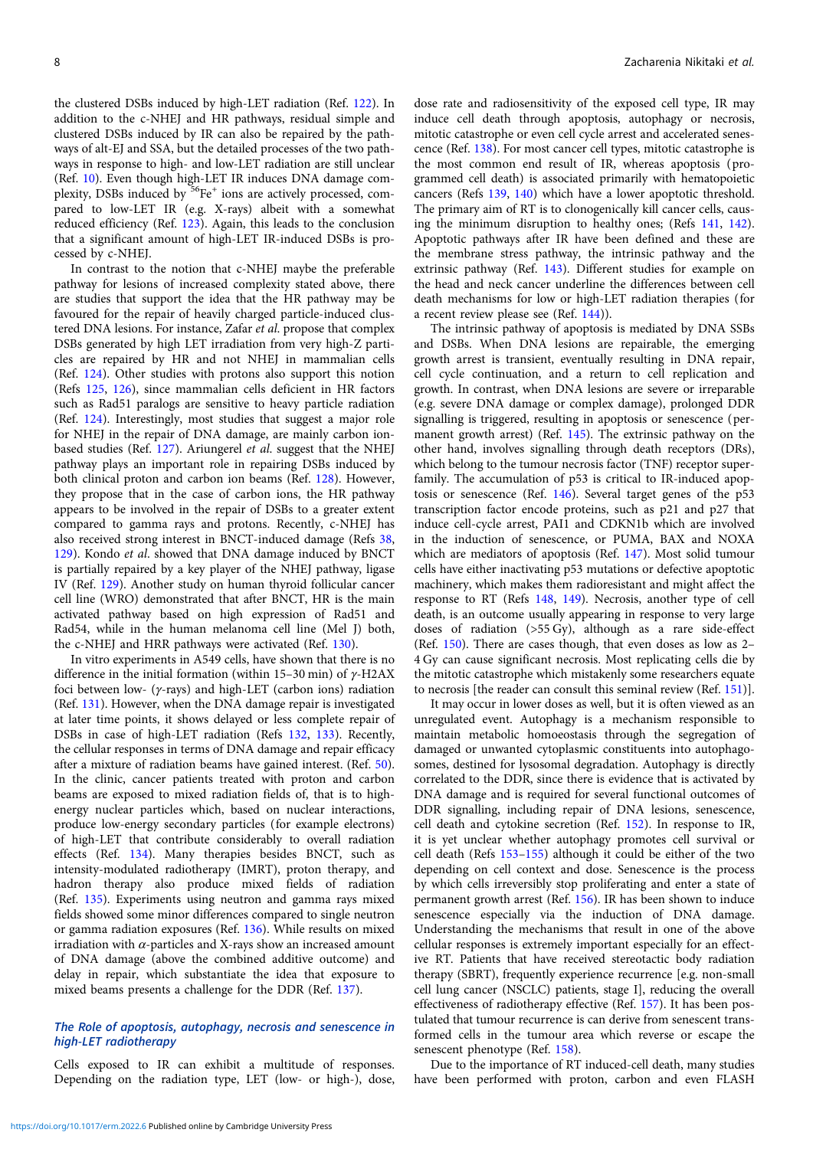the clustered DSBs induced by high-LET radiation (Ref. [122](#page-13-0)). In addition to the c-NHEJ and HR pathways, residual simple and clustered DSBs induced by IR can also be repaired by the pathways of alt-EJ and SSA, but the detailed processes of the two pathways in response to high- and low-LET radiation are still unclear (Ref. [10\)](#page-11-0). Even though high-LET IR induces DNA damage complexity, DSBs induced by <sup>56</sup>Fe<sup>+</sup> ions are actively processed, compared to low-LET IR (e.g. X-rays) albeit with a somewhat reduced efficiency (Ref. [123\)](#page-13-0). Again, this leads to the conclusion that a significant amount of high-LET IR-induced DSBs is processed by c-NHEJ.

In contrast to the notion that c-NHEJ maybe the preferable pathway for lesions of increased complexity stated above, there are studies that support the idea that the HR pathway may be favoured for the repair of heavily charged particle-induced clustered DNA lesions. For instance, Zafar et al. propose that complex DSBs generated by high LET irradiation from very high-Z particles are repaired by HR and not NHEJ in mammalian cells (Ref. [124](#page-13-0)). Other studies with protons also support this notion (Refs [125](#page-13-0), [126](#page-13-0)), since mammalian cells deficient in HR factors such as Rad51 paralogs are sensitive to heavy particle radiation (Ref. [124](#page-13-0)). Interestingly, most studies that suggest a major role for NHEJ in the repair of DNA damage, are mainly carbon ion-based studies (Ref. [127](#page-13-0)). Ariungerel et al. suggest that the NHEJ pathway plays an important role in repairing DSBs induced by both clinical proton and carbon ion beams (Ref. [128\)](#page-13-0). However, they propose that in the case of carbon ions, the HR pathway appears to be involved in the repair of DSBs to a greater extent compared to gamma rays and protons. Recently, c-NHEJ has also received strong interest in BNCT-induced damage (Refs [38](#page-11-0), [129](#page-13-0)). Kondo et al. showed that DNA damage induced by BNCT is partially repaired by a key player of the NHEJ pathway, ligase IV (Ref. [129](#page-13-0)). Another study on human thyroid follicular cancer cell line (WRO) demonstrated that after BNCT, HR is the main activated pathway based on high expression of Rad51 and Rad54, while in the human melanoma cell line (Mel J) both, the c-NHEJ and HRR pathways were activated (Ref. [130](#page-13-0)).

In vitro experiments in A549 cells, have shown that there is no difference in the initial formation (within 15–30 min) of  $γ$ -H2AX foci between low- ( $\gamma$ -rays) and high-LET (carbon ions) radiation (Ref. [131\)](#page-13-0). However, when the DNA damage repair is investigated at later time points, it shows delayed or less complete repair of DSBs in case of high-LET radiation (Refs [132](#page-13-0), [133](#page-13-0)). Recently, the cellular responses in terms of DNA damage and repair efficacy after a mixture of radiation beams have gained interest. (Ref. [50\)](#page-11-0). In the clinic, cancer patients treated with proton and carbon beams are exposed to mixed radiation fields of, that is to highenergy nuclear particles which, based on nuclear interactions, produce low-energy secondary particles (for example electrons) of high-LET that contribute considerably to overall radiation effects (Ref. [134](#page-13-0)). Many therapies besides BNCT, such as intensity-modulated radiotherapy (IMRT), proton therapy, and hadron therapy also produce mixed fields of radiation (Ref. [135](#page-13-0)). Experiments using neutron and gamma rays mixed fields showed some minor differences compared to single neutron or gamma radiation exposures (Ref. [136](#page-13-0)). While results on mixed irradiation with  $\alpha$ -particles and X-rays show an increased amount of DNA damage (above the combined additive outcome) and delay in repair, which substantiate the idea that exposure to mixed beams presents a challenge for the DDR (Ref. [137](#page-13-0)).

# The Role of apoptosis, autophagy, necrosis and senescence in high-LET radiotherapy

Cells exposed to IR can exhibit a multitude of responses. Depending on the radiation type, LET (low- or high-), dose,

dose rate and radiosensitivity of the exposed cell type, IR may induce cell death through apoptosis, autophagy or necrosis, mitotic catastrophe or even cell cycle arrest and accelerated senescence (Ref. [138\)](#page-13-0). For most cancer cell types, mitotic catastrophe is the most common end result of IR, whereas apoptosis (programmed cell death) is associated primarily with hematopoietic cancers (Refs [139](#page-13-0), [140](#page-13-0)) which have a lower apoptotic threshold. The primary aim of RT is to clonogenically kill cancer cells, causing the minimum disruption to healthy ones; (Refs [141](#page-13-0), [142](#page-13-0)). Apoptotic pathways after IR have been defined and these are the membrane stress pathway, the intrinsic pathway and the extrinsic pathway (Ref. [143](#page-13-0)). Different studies for example on the head and neck cancer underline the differences between cell death mechanisms for low or high-LET radiation therapies (for a recent review please see (Ref. [144\)](#page-13-0)).

The intrinsic pathway of apoptosis is mediated by DNA SSBs and DSBs. When DNA lesions are repairable, the emerging growth arrest is transient, eventually resulting in DNA repair, cell cycle continuation, and a return to cell replication and growth. In contrast, when DNA lesions are severe or irreparable (e.g. severe DNA damage or complex damage), prolonged DDR signalling is triggered, resulting in apoptosis or senescence (permanent growth arrest) (Ref. [145](#page-13-0)). The extrinsic pathway on the other hand, involves signalling through death receptors (DRs), which belong to the tumour necrosis factor (TNF) receptor superfamily. The accumulation of p53 is critical to IR-induced apoptosis or senescence (Ref. [146\)](#page-13-0). Several target genes of the p53 transcription factor encode proteins, such as p21 and p27 that induce cell-cycle arrest, PAI1 and CDKN1b which are involved in the induction of senescence, or PUMA, BAX and NOXA which are mediators of apoptosis (Ref. [147\)](#page-13-0). Most solid tumour cells have either inactivating p53 mutations or defective apoptotic machinery, which makes them radioresistant and might affect the response to RT (Refs [148,](#page-13-0) [149\)](#page-13-0). Necrosis, another type of cell death, is an outcome usually appearing in response to very large doses of radiation (>55 Gy), although as a rare side-effect (Ref. [150](#page-13-0)). There are cases though, that even doses as low as 2– 4 Gy can cause significant necrosis. Most replicating cells die by the mitotic catastrophe which mistakenly some researchers equate to necrosis [the reader can consult this seminal review (Ref. [151](#page-13-0))].

It may occur in lower doses as well, but it is often viewed as an unregulated event. Autophagy is a mechanism responsible to maintain metabolic homoeostasis through the segregation of damaged or unwanted cytoplasmic constituents into autophagosomes, destined for lysosomal degradation. Autophagy is directly correlated to the DDR, since there is evidence that is activated by DNA damage and is required for several functional outcomes of DDR signalling, including repair of DNA lesions, senescence, cell death and cytokine secretion (Ref. [152\)](#page-13-0). In response to IR, it is yet unclear whether autophagy promotes cell survival or cell death (Refs [153](#page-13-0)–[155](#page-13-0)) although it could be either of the two depending on cell context and dose. Senescence is the process by which cells irreversibly stop proliferating and enter a state of permanent growth arrest (Ref. [156](#page-13-0)). IR has been shown to induce senescence especially via the induction of DNA damage. Understanding the mechanisms that result in one of the above cellular responses is extremely important especially for an effective RT. Patients that have received stereotactic body radiation therapy (SBRT), frequently experience recurrence [e.g. non-small cell lung cancer (NSCLC) patients, stage I], reducing the overall effectiveness of radiotherapy effective (Ref. [157\)](#page-13-0). It has been postulated that tumour recurrence is can derive from senescent transformed cells in the tumour area which reverse or escape the senescent phenotype (Ref. [158](#page-13-0)).

Due to the importance of RT induced-cell death, many studies have been performed with proton, carbon and even FLASH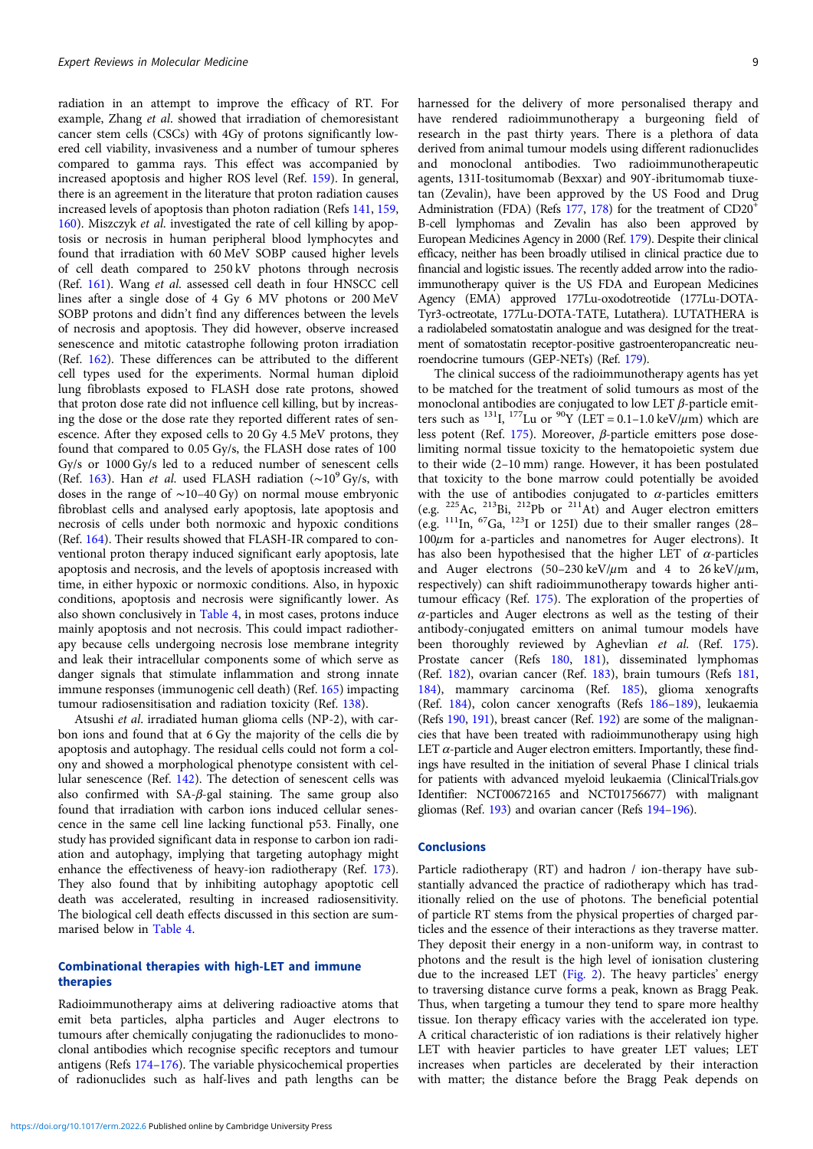radiation in an attempt to improve the efficacy of RT. For example, Zhang et al. showed that irradiation of chemoresistant cancer stem cells (CSCs) with 4Gy of protons significantly lowered cell viability, invasiveness and a number of tumour spheres compared to gamma rays. This effect was accompanied by increased apoptosis and higher ROS level (Ref. [159](#page-13-0)). In general, there is an agreement in the literature that proton radiation causes increased levels of apoptosis than photon radiation (Refs [141,](#page-13-0) [159,](#page-13-0) [160](#page-13-0)). Miszczyk et al. investigated the rate of cell killing by apoptosis or necrosis in human peripheral blood lymphocytes and found that irradiation with 60 MeV SOBP caused higher levels of cell death compared to 250 kV photons through necrosis (Ref. [161\)](#page-13-0). Wang et al. assessed cell death in four HNSCC cell lines after a single dose of 4 Gy 6 MV photons or 200 MeV SOBP protons and didn't find any differences between the levels of necrosis and apoptosis. They did however, observe increased senescence and mitotic catastrophe following proton irradiation (Ref. [162](#page-14-0)). These differences can be attributed to the different cell types used for the experiments. Normal human diploid lung fibroblasts exposed to FLASH dose rate protons, showed that proton dose rate did not influence cell killing, but by increasing the dose or the dose rate they reported different rates of senescence. After they exposed cells to 20 Gy 4.5 MeV protons, they found that compared to 0.05 Gy/s, the FLASH dose rates of 100 Gy/s or 1000 Gy/s led to a reduced number of senescent cells (Ref. [163](#page-14-0)). Han et al. used FLASH radiation ( $\sim$ 10<sup>9</sup> Gy/s, with doses in the range of ∼10–40 Gy) on normal mouse embryonic fibroblast cells and analysed early apoptosis, late apoptosis and necrosis of cells under both normoxic and hypoxic conditions (Ref. [164](#page-14-0)). Their results showed that FLASH-IR compared to conventional proton therapy induced significant early apoptosis, late apoptosis and necrosis, and the levels of apoptosis increased with time, in either hypoxic or normoxic conditions. Also, in hypoxic conditions, apoptosis and necrosis were significantly lower. As also shown conclusively in [Table 4](#page-9-0), in most cases, protons induce mainly apoptosis and not necrosis. This could impact radiotherapy because cells undergoing necrosis lose membrane integrity and leak their intracellular components some of which serve as danger signals that stimulate inflammation and strong innate immune responses (immunogenic cell death) (Ref. [165\)](#page-14-0) impacting tumour radiosensitisation and radiation toxicity (Ref. [138](#page-13-0)).

Atsushi et al. irradiated human glioma cells (NP-2), with carbon ions and found that at 6 Gy the majority of the cells die by apoptosis and autophagy. The residual cells could not form a colony and showed a morphological phenotype consistent with cellular senescence (Ref. [142\)](#page-13-0). The detection of senescent cells was also confirmed with SA-β-gal staining. The same group also found that irradiation with carbon ions induced cellular senescence in the same cell line lacking functional p53. Finally, one study has provided significant data in response to carbon ion radiation and autophagy, implying that targeting autophagy might enhance the effectiveness of heavy-ion radiotherapy (Ref. [173\)](#page-14-0). They also found that by inhibiting autophagy apoptotic cell death was accelerated, resulting in increased radiosensitivity. The biological cell death effects discussed in this section are summarised below in [Table 4.](#page-9-0)

# Combinational therapies with high-LET and immune therapies

Radioimmunotherapy aims at delivering radioactive atoms that emit beta particles, alpha particles and Auger electrons to tumours after chemically conjugating the radionuclides to monoclonal antibodies which recognise specific receptors and tumour antigens (Refs [174](#page-14-0)–[176\)](#page-14-0). The variable physicochemical properties of radionuclides such as half-lives and path lengths can be

harnessed for the delivery of more personalised therapy and have rendered radioimmunotherapy a burgeoning field of research in the past thirty years. There is a plethora of data derived from animal tumour models using different radionuclides and monoclonal antibodies. Two radioimmunotherapeutic agents, 131I-tositumomab (Bexxar) and 90Y-ibritumomab tiuxetan (Zevalin), have been approved by the US Food and Drug Administration (FDA) (Refs [177](#page-14-0), [178\)](#page-14-0) for the treatment of CD20<sup>+</sup> B-cell lymphomas and Zevalin has also been approved by European Medicines Agency in 2000 (Ref. [179](#page-14-0)). Despite their clinical efficacy, neither has been broadly utilised in clinical practice due to financial and logistic issues. The recently added arrow into the radioimmunotherapy quiver is the US FDA and European Medicines Agency (EMA) approved 177Lu-oxodotreotide (177Lu-DOTA-Tyr3-octreotate, 177Lu-DOTA-TATE, Lutathera). LUTATHERA is a radiolabeled somatostatin analogue and was designed for the treatment of somatostatin receptor-positive gastroenteropancreatic neuroendocrine tumours (GEP-NETs) (Ref. [179\)](#page-14-0).

The clinical success of the radioimmunotherapy agents has yet to be matched for the treatment of solid tumours as most of the monoclonal antibodies are conjugated to low LET  $\beta$ -particle emitters such as <sup>131</sup>I, <sup>177</sup>Lu or <sup>90</sup>Y (LET = 0.1–1.0 keV/ $\mu$ m) which are less potent (Ref. [175](#page-14-0)). Moreover, β-particle emitters pose doselimiting normal tissue toxicity to the hematopoietic system due to their wide (2–10 mm) range. However, it has been postulated that toxicity to the bone marrow could potentially be avoided with the use of antibodies conjugated to  $\alpha$ -particles emitters (e.g. 225Ac, 213Bi, 212Pb or 211At) and Auger electron emitters (e.g.  $^{111}$ In,  $^{67}$ Ga,  $^{123}$ I or 125I) due to their smaller ranges (28- $100\mu$ m for a-particles and nanometres for Auger electrons). It has also been hypothesised that the higher LET of  $\alpha$ -particles and Auger electrons (50–230 keV/ $\mu$ m and 4 to 26 keV/ $\mu$ m, respectively) can shift radioimmunotherapy towards higher antitumour efficacy (Ref. [175](#page-14-0)). The exploration of the properties of  $\alpha$ -particles and Auger electrons as well as the testing of their antibody-conjugated emitters on animal tumour models have been thoroughly reviewed by Aghevlian et al. (Ref. [175](#page-14-0)). Prostate cancer (Refs [180](#page-14-0), [181\)](#page-14-0), disseminated lymphomas (Ref. [182\)](#page-14-0), ovarian cancer (Ref. [183](#page-14-0)), brain tumours (Refs [181](#page-14-0), [184\)](#page-14-0), mammary carcinoma (Ref. [185\)](#page-14-0), glioma xenografts (Ref. [184](#page-14-0)), colon cancer xenografts (Refs [186](#page-14-0)–[189](#page-14-0)), leukaemia (Refs [190,](#page-14-0) [191\)](#page-14-0), breast cancer (Ref. [192](#page-14-0)) are some of the malignancies that have been treated with radioimmunotherapy using high LET  $\alpha$ -particle and Auger electron emitters. Importantly, these findings have resulted in the initiation of several Phase I clinical trials for patients with advanced myeloid leukaemia (ClinicalTrials.gov Identifier: NCT00672165 and NCT01756677) with malignant gliomas (Ref. [193](#page-14-0)) and ovarian cancer (Refs [194](#page-14-0)–[196](#page-14-0)).

# **Conclusions**

Particle radiotherapy (RT) and hadron / ion-therapy have substantially advanced the practice of radiotherapy which has traditionally relied on the use of photons. The beneficial potential of particle RT stems from the physical properties of charged particles and the essence of their interactions as they traverse matter. They deposit their energy in a non-uniform way, in contrast to photons and the result is the high level of ionisation clustering due to the increased LET [\(Fig. 2\)](#page-10-0). The heavy particles' energy to traversing distance curve forms a peak, known as Bragg Peak. Thus, when targeting a tumour they tend to spare more healthy tissue. Ion therapy efficacy varies with the accelerated ion type. A critical characteristic of ion radiations is their relatively higher LET with heavier particles to have greater LET values; LET increases when particles are decelerated by their interaction with matter; the distance before the Bragg Peak depends on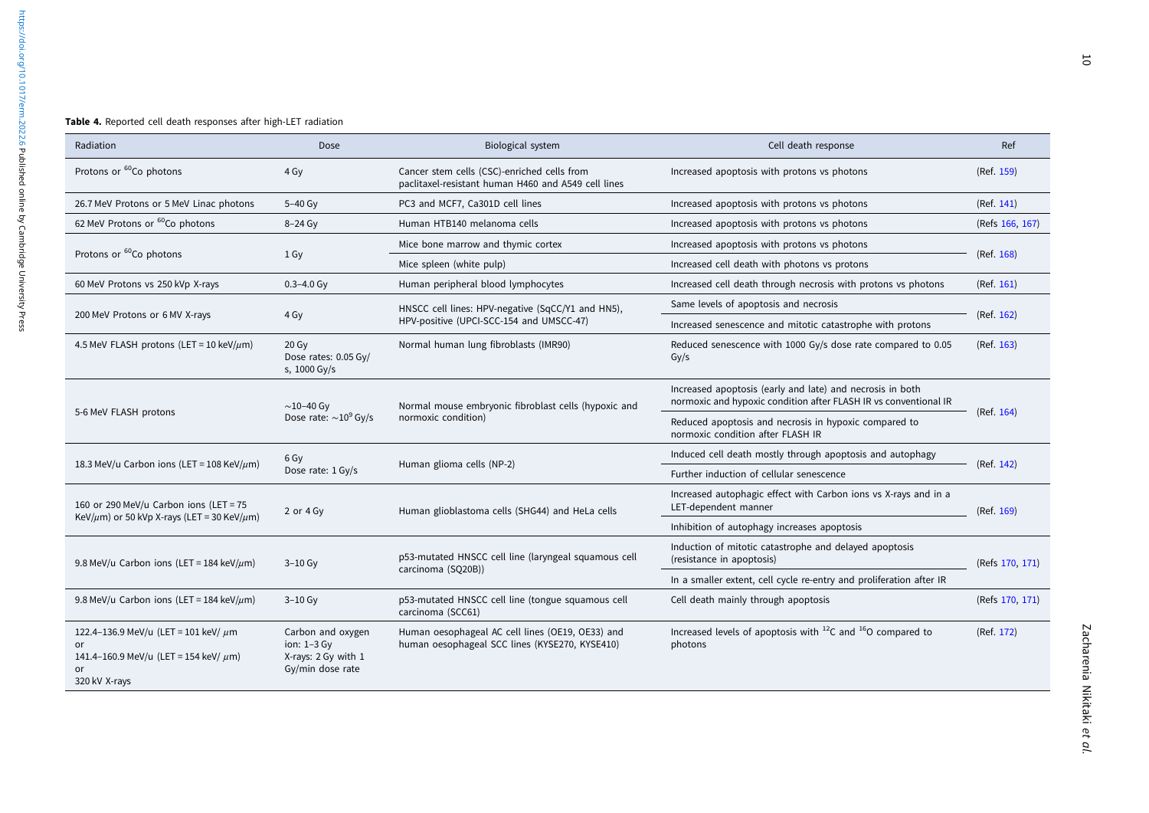#### <span id="page-9-0"></span>Table 4. Reported cell death responses after high-LET radiation

| Radiation                                                                                                            | Dose                                                                          | Biological system                                                                                  | Cell death response                                                                                                           | Ref             |  |
|----------------------------------------------------------------------------------------------------------------------|-------------------------------------------------------------------------------|----------------------------------------------------------------------------------------------------|-------------------------------------------------------------------------------------------------------------------------------|-----------------|--|
| Protons or 60Co photons                                                                                              | 4 Gy                                                                          | Cancer stem cells (CSC)-enriched cells from<br>paclitaxel-resistant human H460 and A549 cell lines | Increased apoptosis with protons vs photons                                                                                   | (Ref. 159)      |  |
| 26.7 MeV Protons or 5 MeV Linac photons                                                                              | 5-40 Gy                                                                       | PC3 and MCF7, Ca301D cell lines                                                                    | Increased apoptosis with protons vs photons                                                                                   | (Ref. 141)      |  |
| 62 MeV Protons or <sup>60</sup> Co photons                                                                           | $8-24$ Gy                                                                     | Human HTB140 melanoma cells                                                                        | Increased apoptosis with protons vs photons                                                                                   | (Refs 166, 167) |  |
| Protons or <sup>60</sup> Co photons                                                                                  | 1 Gy                                                                          | Mice bone marrow and thymic cortex                                                                 | Increased apoptosis with protons vs photons                                                                                   | (Ref. 168)      |  |
|                                                                                                                      |                                                                               | Mice spleen (white pulp)                                                                           | Increased cell death with photons vs protons                                                                                  |                 |  |
| 60 MeV Protons vs 250 kVp X-rays                                                                                     | $0.3 - 4.0$ Gy                                                                | Human peripheral blood lymphocytes                                                                 | Increased cell death through necrosis with protons vs photons                                                                 | (Ref. 161)      |  |
|                                                                                                                      |                                                                               | HNSCC cell lines: HPV-negative (SqCC/Y1 and HN5),                                                  | Same levels of apoptosis and necrosis                                                                                         |                 |  |
| 200 MeV Protons or 6 MV X-rays                                                                                       | 4 Gy                                                                          | HPV-positive (UPCI-SCC-154 and UMSCC-47)                                                           | Increased senescence and mitotic catastrophe with protons                                                                     | (Ref. 162)      |  |
| 4.5 MeV FLASH protons (LET = 10 keV/ $\mu$ m)                                                                        | 20 Gy<br>Dose rates: 0.05 Gy/<br>s, 1000 Gy/s                                 | Normal human lung fibroblasts (IMR90)                                                              | Reduced senescence with 1000 Gy/s dose rate compared to 0.05<br>Gy/s                                                          | (Ref. 163)      |  |
| 5-6 MeV FLASH protons                                                                                                | $\sim$ 10-40 Gy<br>Dose rate: $\sim 10^9$ Gy/s                                | Normal mouse embryonic fibroblast cells (hypoxic and                                               | Increased apoptosis (early and late) and necrosis in both<br>normoxic and hypoxic condition after FLASH IR vs conventional IR | (Ref. 164)      |  |
|                                                                                                                      |                                                                               | normoxic condition)                                                                                | Reduced apoptosis and necrosis in hypoxic compared to<br>normoxic condition after FLASH IR                                    |                 |  |
| 18.3 MeV/u Carbon ions (LET = 108 KeV/ $\mu$ m)                                                                      | 6 Gy<br>Dose rate: 1 Gy/s                                                     | Human glioma cells (NP-2)                                                                          | Induced cell death mostly through apoptosis and autophagy                                                                     |                 |  |
|                                                                                                                      |                                                                               |                                                                                                    | Further induction of cellular senescence                                                                                      | (Ref. 142)      |  |
| 160 or 290 MeV/u Carbon ions (LET = 75<br>KeV/ $\mu$ m) or 50 kVp X-rays (LET = 30 KeV/ $\mu$ m)                     | 2 or 4 Gy                                                                     | Human glioblastoma cells (SHG44) and HeLa cells                                                    | Increased autophagic effect with Carbon ions vs X-rays and in a<br>LET-dependent manner                                       | (Ref. 169)      |  |
|                                                                                                                      |                                                                               |                                                                                                    | Inhibition of autophagy increases apoptosis                                                                                   |                 |  |
| 9.8 MeV/u Carbon ions (LET = 184 keV/ $\mu$ m)                                                                       | $3-10$ Gy                                                                     | p53-mutated HNSCC cell line (laryngeal squamous cell                                               | Induction of mitotic catastrophe and delayed apoptosis<br>(resistance in apoptosis)                                           | (Refs 170, 171) |  |
|                                                                                                                      |                                                                               | carcinoma (SQ20B))                                                                                 | In a smaller extent, cell cycle re-entry and proliferation after IR                                                           |                 |  |
| 9.8 MeV/u Carbon ions (LET = 184 keV/ $\mu$ m)                                                                       | $3-10$ Gy                                                                     | p53-mutated HNSCC cell line (tongue squamous cell<br>carcinoma (SCC61)                             | Cell death mainly through apoptosis                                                                                           | (Refs 170, 171) |  |
| 122.4-136.9 MeV/u (LET = 101 keV/ $\mu$ m<br>or<br>141.4-160.9 MeV/u (LET = 154 keV/ $\mu$ m)<br>or<br>320 kV X-rays | Carbon and oxygen<br>ion: $1-3$ Gy<br>X-rays: 2 Gy with 1<br>Gy/min dose rate | Human oesophageal AC cell lines (OE19, OE33) and<br>human oesophageal SCC lines (KYSE270, KYSE410) | Increased levels of apoptosis with $^{12}$ C and $^{16}$ O compared to<br>photons                                             | (Ref. 172)      |  |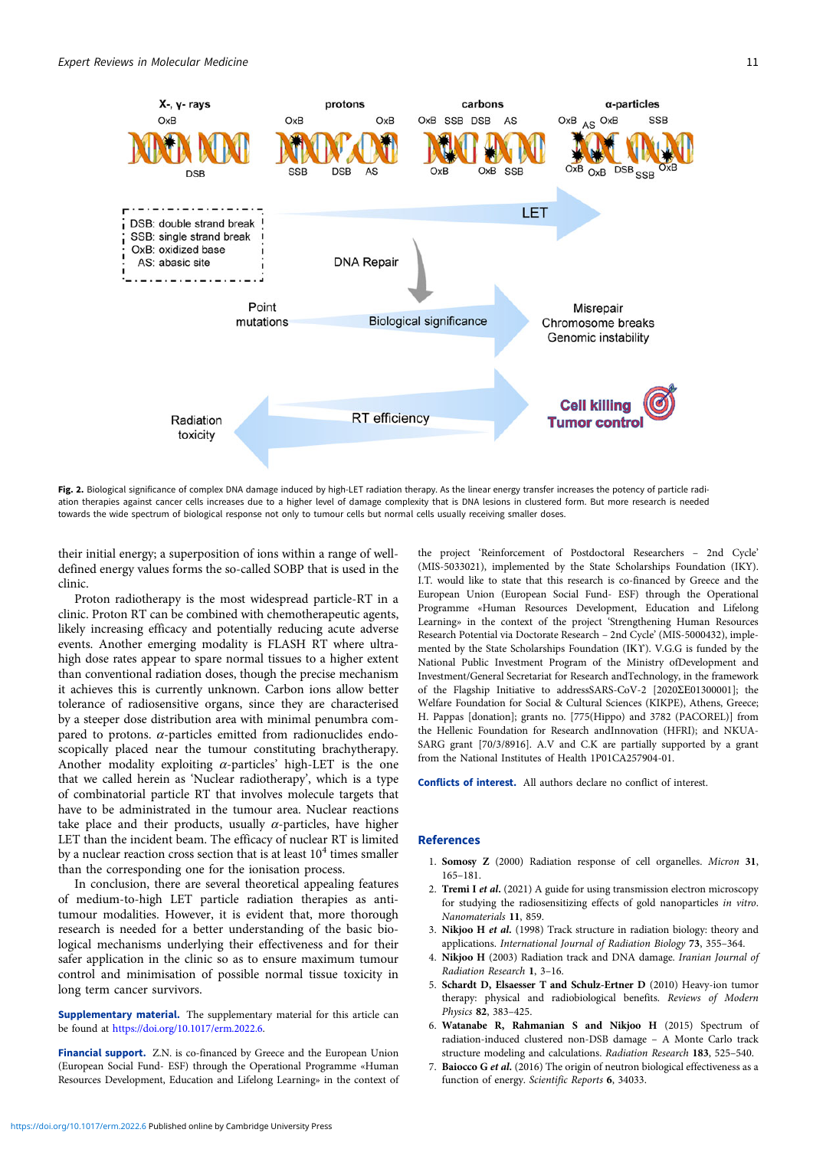<span id="page-10-0"></span>

Fig. 2. Biological significance of complex DNA damage induced by high-LET radiation therapy. As the linear energy transfer increases the potency of particle radiation therapies against cancer cells increases due to a higher level of damage complexity that is DNA lesions in clustered form. But more research is needed towards the wide spectrum of biological response not only to tumour cells but normal cells usually receiving smaller doses.

their initial energy; a superposition of ions within a range of welldefined energy values forms the so-called SOBP that is used in the clinic.

Proton radiotherapy is the most widespread particle-RT in a clinic. Proton RT can be combined with chemotherapeutic agents, likely increasing efficacy and potentially reducing acute adverse events. Another emerging modality is FLASH RT where ultrahigh dose rates appear to spare normal tissues to a higher extent than conventional radiation doses, though the precise mechanism it achieves this is currently unknown. Carbon ions allow better tolerance of radiosensitive organs, since they are characterised by a steeper dose distribution area with minimal penumbra compared to protons.  $\alpha$ -particles emitted from radionuclides endoscopically placed near the tumour constituting brachytherapy. Another modality exploiting  $\alpha$ -particles' high-LET is the one that we called herein as 'Nuclear radiotherapy', which is a type of combinatorial particle RT that involves molecule targets that have to be administrated in the tumour area. Nuclear reactions take place and their products, usually  $\alpha$ -particles, have higher LET than the incident beam. The efficacy of nuclear RT is limited by a nuclear reaction cross section that is at least  $10<sup>4</sup>$  times smaller than the corresponding one for the ionisation process.

In conclusion, there are several theoretical appealing features of medium-to-high LET particle radiation therapies as antitumour modalities. However, it is evident that, more thorough research is needed for a better understanding of the basic biological mechanisms underlying their effectiveness and for their safer application in the clinic so as to ensure maximum tumour control and minimisation of possible normal tissue toxicity in long term cancer survivors.

Supplementary material. The supplementary material for this article can be found at <https://doi.org/10.1017/erm.2022.6>.

Financial support. Z.N. is co-financed by Greece and the European Union (European Social Fund- ESF) through the Operational Programme «Human Resources Development, Education and Lifelong Learning» in the context of the project 'Reinforcement of Postdoctoral Researchers – 2nd Cycle' (MIS-5033021), implemented by the State Scholarships Foundation (IKY). I.T. would like to state that this research is co-financed by Greece and the European Union (European Social Fund- ESF) through the Operational Programme «Human Resources Development, Education and Lifelong Learning» in the context of the project 'Strengthening Human Resources Research Potential via Doctorate Research – 2nd Cycle' (MIS-5000432), implemented by the State Scholarships Foundation (ΙΚΥ). V.G.G is funded by the National Public Investment Program of the Ministry ofDevelopment and Investment/General Secretariat for Research andTechnology, in the framework of the Flagship Initiative to addressSARS-CoV-2 [2020ΣΕ01300001]; the Welfare Foundation for Social & Cultural Sciences (KIKPE), Athens, Greece; H. Pappas [donation]; grants no. [775(Hippo) and 3782 (PACOREL)] from the Hellenic Foundation for Research andInnovation (HFRI); and NKUA-SARG grant [70/3/8916]. A.V and C.K are partially supported by a grant from the National Institutes of Health 1P01CA257904-01.

Conflicts of interest. All authors declare no conflict of interest.

#### References

- 1. Somosy Z (2000) Radiation response of cell organelles. Micron 31, 165–181.
- 2. Tremi I et al. (2021) A guide for using transmission electron microscopy for studying the radiosensitizing effects of gold nanoparticles in vitro. Nanomaterials 11, 859.
- 3. Nikjoo H et al. (1998) Track structure in radiation biology: theory and applications. International Journal of Radiation Biology 73, 355–364.
- 4. Nikjoo H (2003) Radiation track and DNA damage. Iranian Journal of Radiation Research 1, 3–16.
- 5. Schardt D, Elsaesser T and Schulz-Ertner D (2010) Heavy-ion tumor therapy: physical and radiobiological benefits. Reviews of Modern Physics 82, 383–425.
- 6. Watanabe R, Rahmanian S and Nikjoo H (2015) Spectrum of radiation-induced clustered non-DSB damage – A Monte Carlo track structure modeling and calculations. Radiation Research 183, 525–540.
- 7. Baiocco G et al. (2016) The origin of neutron biological effectiveness as a function of energy. Scientific Reports 6, 34033.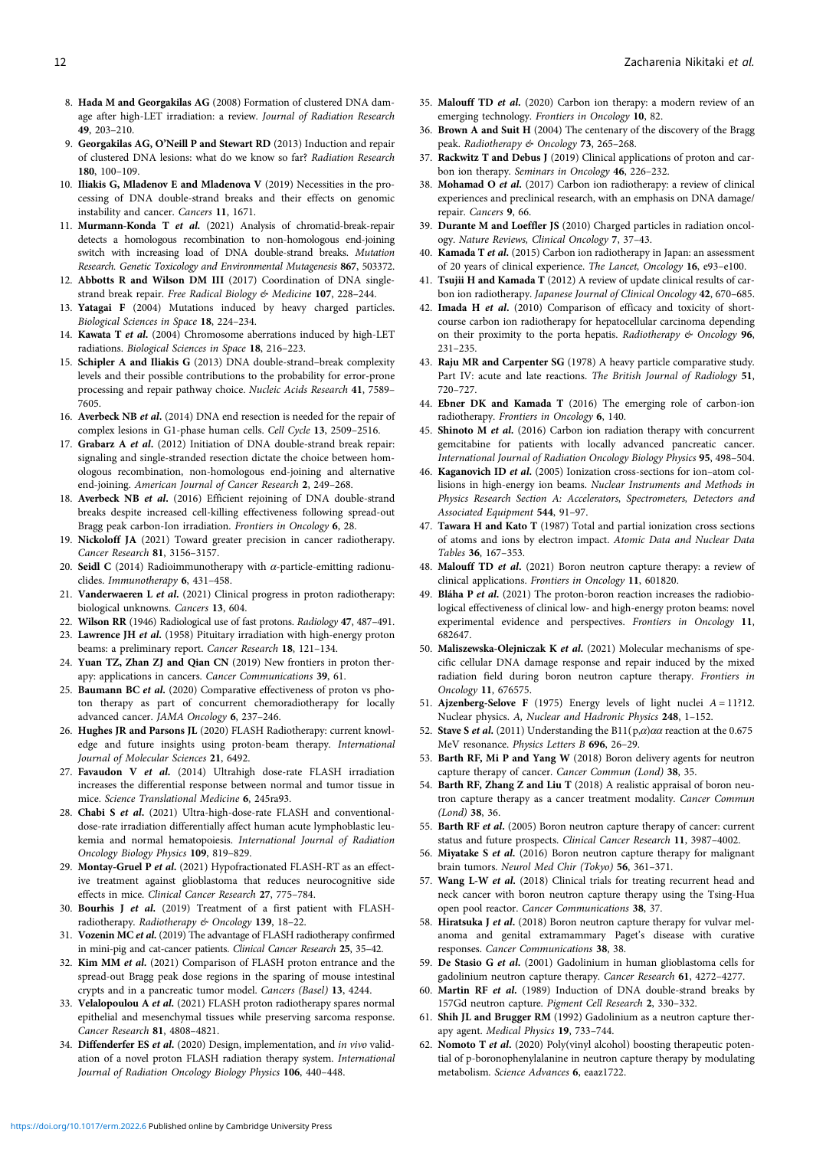- <span id="page-11-0"></span>8. Hada M and Georgakilas AG (2008) Formation of clustered DNA damage after high-LET irradiation: a review. Journal of Radiation Research 49, 203–210.
- 9. Georgakilas AG, O'Neill P and Stewart RD (2013) Induction and repair of clustered DNA lesions: what do we know so far? Radiation Research 180, 100–109.
- 10. Iliakis G, Mladenov E and Mladenova V (2019) Necessities in the processing of DNA double-strand breaks and their effects on genomic instability and cancer. Cancers 11, 1671.
- 11. Murmann-Konda T et al. (2021) Analysis of chromatid-break-repair detects a homologous recombination to non-homologous end-joining switch with increasing load of DNA double-strand breaks. Mutation Research. Genetic Toxicology and Environmental Mutagenesis 867, 503372.
- 12. Abbotts R and Wilson DM III (2017) Coordination of DNA singlestrand break repair. Free Radical Biology & Medicine 107, 228-244.
- 13. Yatagai F (2004) Mutations induced by heavy charged particles. Biological Sciences in Space 18, 224–234.
- 14. Kawata T et al. (2004) Chromosome aberrations induced by high-LET radiations. Biological Sciences in Space 18, 216–223.
- 15. Schipler A and Iliakis G (2013) DNA double-strand–break complexity levels and their possible contributions to the probability for error-prone processing and repair pathway choice. Nucleic Acids Research 41, 7589-7605.
- 16. Averbeck NB et al. (2014) DNA end resection is needed for the repair of complex lesions in G1-phase human cells. Cell Cycle 13, 2509–2516.
- 17. Grabarz A et al. (2012) Initiation of DNA double-strand break repair: signaling and single-stranded resection dictate the choice between homologous recombination, non-homologous end-joining and alternative end-joining. American Journal of Cancer Research 2, 249-268.
- 18. Averbeck NB et al. (2016) Efficient rejoining of DNA double-strand breaks despite increased cell-killing effectiveness following spread-out Bragg peak carbon-Ion irradiation. Frontiers in Oncology 6, 28.
- 19. Nickoloff JA (2021) Toward greater precision in cancer radiotherapy. Cancer Research 81, 3156–3157.
- 20. Seidl C (2014) Radioimmunotherapy with  $\alpha$ -particle-emitting radionuclides. Immunotherapy 6, 431–458.
- 21. Vanderwaeren L et al. (2021) Clinical progress in proton radiotherapy: biological unknowns. Cancers 13, 604.
- 22. Wilson RR (1946) Radiological use of fast protons. Radiology 47, 487–491.
- 23. Lawrence JH et al. (1958) Pituitary irradiation with high-energy proton beams: a preliminary report. Cancer Research 18, 121–134.
- 24. Yuan TZ, Zhan ZJ and Qian CN (2019) New frontiers in proton therapy: applications in cancers. Cancer Communications 39, 61.
- 25. Baumann BC et al. (2020) Comparative effectiveness of proton vs photon therapy as part of concurrent chemoradiotherapy for locally advanced cancer. JAMA Oncology 6, 237–246.
- 26. Hughes JR and Parsons JL (2020) FLASH Radiotherapy: current knowledge and future insights using proton-beam therapy. International Journal of Molecular Sciences 21, 6492.
- 27. Favaudon V et al. (2014) Ultrahigh dose-rate FLASH irradiation increases the differential response between normal and tumor tissue in mice. Science Translational Medicine 6, 245ra93.
- 28. Chabi S et al. (2021) Ultra-high-dose-rate FLASH and conventionaldose-rate irradiation differentially affect human acute lymphoblastic leukemia and normal hematopoiesis. International Journal of Radiation Oncology Biology Physics 109, 819–829.
- 29. Montay-Gruel P et al. (2021) Hypofractionated FLASH-RT as an effective treatment against glioblastoma that reduces neurocognitive side effects in mice. Clinical Cancer Research 27, 775–784.
- 30. Bourhis J et al. (2019) Treatment of a first patient with FLASHradiotherapy. Radiotherapy & Oncology 139, 18–22.
- 31. Vozenin MC et al. (2019) The advantage of FLASH radiotherapy confirmed in mini-pig and cat-cancer patients. Clinical Cancer Research 25, 35–42.
- 32. Kim MM et al. (2021) Comparison of FLASH proton entrance and the spread-out Bragg peak dose regions in the sparing of mouse intestinal crypts and in a pancreatic tumor model. Cancers (Basel) 13, 4244.
- 33. Velalopoulou A et al. (2021) FLASH proton radiotherapy spares normal epithelial and mesenchymal tissues while preserving sarcoma response. Cancer Research 81, 4808–4821.
- 34. Diffenderfer ES et al. (2020) Design, implementation, and in vivo validation of a novel proton FLASH radiation therapy system. International Journal of Radiation Oncology Biology Physics 106, 440–448.
- 35. Malouff TD et al. (2020) Carbon ion therapy: a modern review of an emerging technology. Frontiers in Oncology 10, 82.
- 36. Brown A and Suit H (2004) The centenary of the discovery of the Bragg peak. Radiotherapy & Oncology 73, 265-268.
- 37. Rackwitz T and Debus J (2019) Clinical applications of proton and carbon ion therapy. Seminars in Oncology 46, 226–232.
- 38. Mohamad O et al. (2017) Carbon ion radiotherapy: a review of clinical experiences and preclinical research, with an emphasis on DNA damage/ repair. Cancers 9, 66.
- 39. Durante M and Loeffler JS (2010) Charged particles in radiation oncology. Nature Reviews, Clinical Oncology 7, 37–43.
- 40. Kamada T et al. (2015) Carbon ion radiotherapy in Japan: an assessment of 20 years of clinical experience. The Lancet, Oncology 16, e93–e100.
- 41. Tsujii H and Kamada T (2012) A review of update clinical results of carbon ion radiotherapy. Japanese Journal of Clinical Oncology 42, 670–685.
- 42. Imada H et al. (2010) Comparison of efficacy and toxicity of shortcourse carbon ion radiotherapy for hepatocellular carcinoma depending on their proximity to the porta hepatis. Radiotherapy & Oncology 96, 231–235.
- 43. Raju MR and Carpenter SG (1978) A heavy particle comparative study. Part IV: acute and late reactions. The British Journal of Radiology 51, 720–727.
- 44. Ebner DK and Kamada T (2016) The emerging role of carbon-ion radiotherapy. Frontiers in Oncology 6, 140.
- 45. Shinoto M et al. (2016) Carbon ion radiation therapy with concurrent gemcitabine for patients with locally advanced pancreatic cancer. International Journal of Radiation Oncology Biology Physics 95, 498–504.
- 46. Kaganovich ID et al. (2005) Ionization cross-sections for ion–atom collisions in high-energy ion beams. Nuclear Instruments and Methods in Physics Research Section A: Accelerators, Spectrometers, Detectors and Associated Equipment 544, 91–97.
- 47. Tawara H and Kato T (1987) Total and partial ionization cross sections of atoms and ions by electron impact. Atomic Data and Nuclear Data Tables 36, 167–353.
- 48. Malouff TD et al. (2021) Boron neutron capture therapy: a review of clinical applications. Frontiers in Oncology 11, 601820.
- 49. Bláha P et al. (2021) The proton-boron reaction increases the radiobiological effectiveness of clinical low- and high-energy proton beams: novel experimental evidence and perspectives. Frontiers in Oncology 11, 682647.
- 50. Maliszewska-Olejniczak K et al. (2021) Molecular mechanisms of specific cellular DNA damage response and repair induced by the mixed radiation field during boron neutron capture therapy. Frontiers in Oncology 11, 676575.
- 51. Ajzenberg-Selove F (1975) Energy levels of light nuclei A = 11?12. Nuclear physics. A, Nuclear and Hadronic Physics 248, 1–152.
- 52. Stave S et al. (2011) Understanding the B11( $p, \alpha$ ) $\alpha\alpha$  reaction at the 0.675 MeV resonance. Physics Letters B 696, 26–29.
- 53. Barth RF, Mi P and Yang W (2018) Boron delivery agents for neutron capture therapy of cancer. Cancer Commun (Lond) 38, 35.
- 54. Barth RF, Zhang Z and Liu T (2018) A realistic appraisal of boron neutron capture therapy as a cancer treatment modality. Cancer Commun (Lond) 38, 36.
- 55. Barth RF et al. (2005) Boron neutron capture therapy of cancer: current status and future prospects. Clinical Cancer Research 11, 3987–4002.
- 56. Miyatake S et al. (2016) Boron neutron capture therapy for malignant brain tumors. Neurol Med Chir (Tokyo) 56, 361–371.
- 57. Wang L-W et al. (2018) Clinical trials for treating recurrent head and neck cancer with boron neutron capture therapy using the Tsing-Hua open pool reactor. Cancer Communications 38, 37.
- 58. Hiratsuka J et al. (2018) Boron neutron capture therapy for vulvar melanoma and genital extramammary Paget's disease with curative responses. Cancer Communications 38, 38.
- 59. De Stasio G et al. (2001) Gadolinium in human glioblastoma cells for gadolinium neutron capture therapy. Cancer Research 61, 4272–4277.
- 60. Martin RF et al. (1989) Induction of DNA double-strand breaks by 157Gd neutron capture. Pigment Cell Research 2, 330–332.
- 61. Shih JL and Brugger RM (1992) Gadolinium as a neutron capture therapy agent. Medical Physics 19, 733–744.
- 62. Nomoto T et al. (2020) Poly(vinyl alcohol) boosting therapeutic potential of p-boronophenylalanine in neutron capture therapy by modulating metabolism. Science Advances 6, eaaz1722.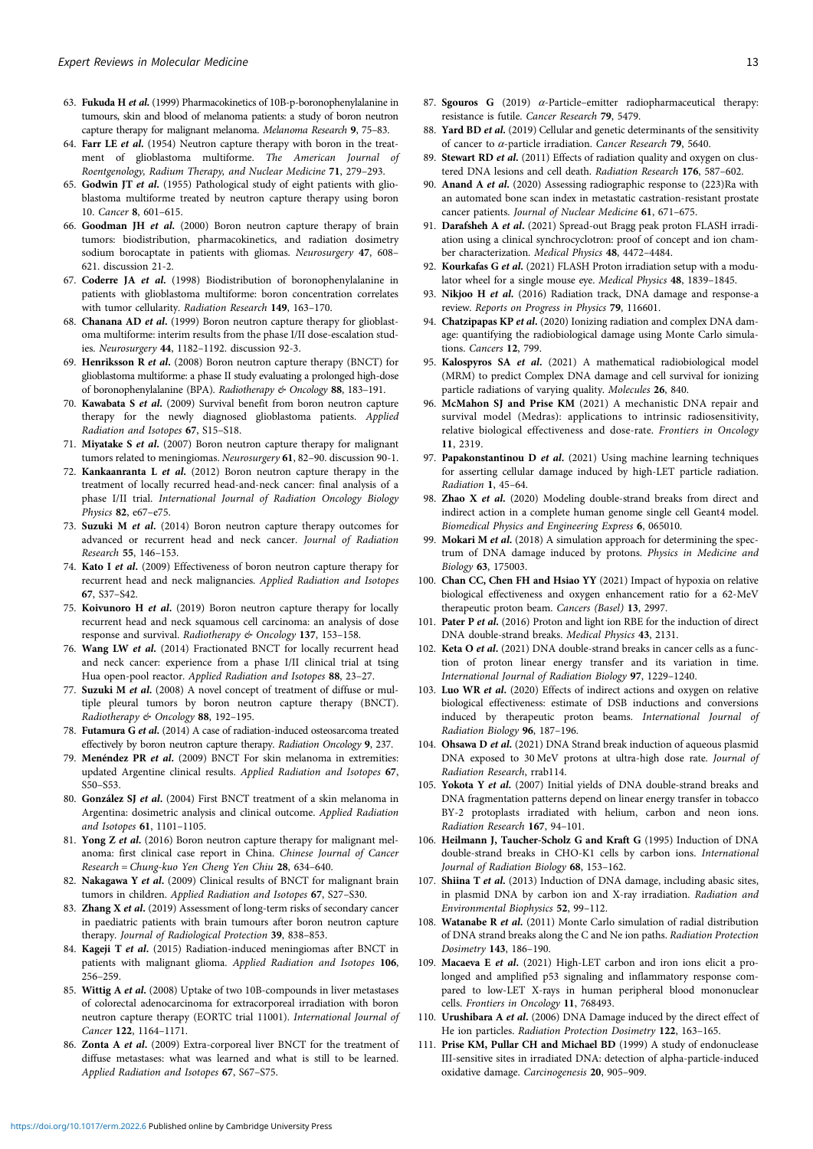- <span id="page-12-0"></span>63. Fukuda H et al. (1999) Pharmacokinetics of 10B-p-boronophenylalanine in tumours, skin and blood of melanoma patients: a study of boron neutron capture therapy for malignant melanoma. Melanoma Research 9, 75–83.
- 64. Farr LE et al. (1954) Neutron capture therapy with boron in the treatment of glioblastoma multiforme. The American Journal of Roentgenology, Radium Therapy, and Nuclear Medicine 71, 279–293.
- 65. Godwin JT et al. (1955) Pathological study of eight patients with glioblastoma multiforme treated by neutron capture therapy using boron 10. Cancer 8, 601–615.
- 66. Goodman JH et al. (2000) Boron neutron capture therapy of brain tumors: biodistribution, pharmacokinetics, and radiation dosimetry sodium borocaptate in patients with gliomas. Neurosurgery 47, 608– 621. discussion 21-2.
- 67. Coderre JA et al. (1998) Biodistribution of boronophenylalanine in patients with glioblastoma multiforme: boron concentration correlates with tumor cellularity. Radiation Research 149, 163–170.
- 68. Chanana AD et al. (1999) Boron neutron capture therapy for glioblastoma multiforme: interim results from the phase I/II dose-escalation studies. Neurosurgery 44, 1182–1192. discussion 92-3.
- 69. Henriksson R et al. (2008) Boron neutron capture therapy (BNCT) for glioblastoma multiforme: a phase II study evaluating a prolonged high-dose of boronophenylalanine (BPA). Radiotherapy & Oncology 88, 183-191.
- 70. Kawabata S et al. (2009) Survival benefit from boron neutron capture therapy for the newly diagnosed glioblastoma patients. Applied Radiation and Isotopes 67, S15–S18.
- 71. Miyatake S et al. (2007) Boron neutron capture therapy for malignant tumors related to meningiomas. Neurosurgery 61, 82–90. discussion 90-1.
- 72. Kankaanranta L et al. (2012) Boron neutron capture therapy in the treatment of locally recurred head-and-neck cancer: final analysis of a phase I/II trial. International Journal of Radiation Oncology Biology Physics 82, e67–e75.
- 73. Suzuki M et al. (2014) Boron neutron capture therapy outcomes for advanced or recurrent head and neck cancer. Journal of Radiation Research 55, 146–153.
- 74. Kato I et al. (2009) Effectiveness of boron neutron capture therapy for recurrent head and neck malignancies. Applied Radiation and Isotopes 67, S37–S42.
- 75. Koivunoro H et al. (2019) Boron neutron capture therapy for locally recurrent head and neck squamous cell carcinoma: an analysis of dose response and survival. Radiotherapy & Oncology 137, 153-158.
- 76. Wang LW et al. (2014) Fractionated BNCT for locally recurrent head and neck cancer: experience from a phase I/II clinical trial at tsing Hua open-pool reactor. Applied Radiation and Isotopes 88, 23–27.
- 77. Suzuki M et al. (2008) A novel concept of treatment of diffuse or multiple pleural tumors by boron neutron capture therapy (BNCT). Radiotherapy & Oncology 88, 192–195.
- 78. Futamura G et al. (2014) A case of radiation-induced osteosarcoma treated effectively by boron neutron capture therapy. Radiation Oncology 9, 237.
- 79. Menéndez PR et al. (2009) BNCT For skin melanoma in extremities: updated Argentine clinical results. Applied Radiation and Isotopes 67, S50–S53.
- 80. González SJ et al. (2004) First BNCT treatment of a skin melanoma in Argentina: dosimetric analysis and clinical outcome. Applied Radiation and Isotopes 61, 1101–1105.
- 81. Yong Z et al. (2016) Boron neutron capture therapy for malignant melanoma: first clinical case report in China. Chinese Journal of Cancer Research = Chung-kuo Yen Cheng Yen Chiu 28, 634–640.
- 82. Nakagawa Y et al. (2009) Clinical results of BNCT for malignant brain tumors in children. Applied Radiation and Isotopes 67, S27–S30.
- 83. Zhang X et al. (2019) Assessment of long-term risks of secondary cancer in paediatric patients with brain tumours after boron neutron capture therapy. Journal of Radiological Protection 39, 838–853.
- 84. Kageji T et al. (2015) Radiation-induced meningiomas after BNCT in patients with malignant glioma. Applied Radiation and Isotopes 106, 256–259.
- 85. Wittig A et al. (2008) Uptake of two 10B-compounds in liver metastases of colorectal adenocarcinoma for extracorporeal irradiation with boron neutron capture therapy (EORTC trial 11001). International Journal of Cancer 122, 1164–1171.
- 86. Zonta A et al. (2009) Extra-corporeal liver BNCT for the treatment of diffuse metastases: what was learned and what is still to be learned. Applied Radiation and Isotopes 67, S67–S75.
- 87. Sgouros G (2019)  $\alpha$ -Particle–emitter radiopharmaceutical therapy: resistance is futile. Cancer Research 79, 5479.
- 88. Yard BD et al. (2019) Cellular and genetic determinants of the sensitivity of cancer to  $\alpha$ -particle irradiation. Cancer Research 79, 5640.
- 89. Stewart RD et al. (2011) Effects of radiation quality and oxygen on clustered DNA lesions and cell death. Radiation Research 176, 587–602.
- 90. Anand A et al. (2020) Assessing radiographic response to (223)Ra with an automated bone scan index in metastatic castration-resistant prostate cancer patients. Journal of Nuclear Medicine 61, 671–675.
- 91. Darafsheh A et al. (2021) Spread-out Bragg peak proton FLASH irradiation using a clinical synchrocyclotron: proof of concept and ion chamber characterization. Medical Physics 48, 4472–4484.
- 92. Kourkafas G et al. (2021) FLASH Proton irradiation setup with a modulator wheel for a single mouse eye. Medical Physics 48, 1839-1845.
- 93. Nikjoo H et al. (2016) Radiation track, DNA damage and response-a review. Reports on Progress in Physics 79, 116601.
- 94. Chatzipapas KP et al. (2020) Ionizing radiation and complex DNA damage: quantifying the radiobiological damage using Monte Carlo simulations. Cancers 12, 799.
- 95. Kalospyros SA et al. (2021) A mathematical radiobiological model (MRM) to predict Complex DNA damage and cell survival for ionizing particle radiations of varying quality. Molecules 26, 840.
- 96. McMahon SJ and Prise KM (2021) A mechanistic DNA repair and survival model (Medras): applications to intrinsic radiosensitivity, relative biological effectiveness and dose-rate. Frontiers in Oncology 11, 2319.
- 97. Papakonstantinou D et al. (2021) Using machine learning techniques for asserting cellular damage induced by high-LET particle radiation. Radiation 1, 45–64.
- 98. Zhao X et al. (2020) Modeling double-strand breaks from direct and indirect action in a complete human genome single cell Geant4 model. Biomedical Physics and Engineering Express 6, 065010.
- 99. Mokari M et al. (2018) A simulation approach for determining the spectrum of DNA damage induced by protons. Physics in Medicine and Biology 63, 175003.
- 100. Chan CC, Chen FH and Hsiao YY (2021) Impact of hypoxia on relative biological effectiveness and oxygen enhancement ratio for a 62-MeV therapeutic proton beam. Cancers (Basel) 13, 2997.
- 101. Pater P et al. (2016) Proton and light ion RBE for the induction of direct DNA double-strand breaks. Medical Physics 43, 2131.
- 102. Keta O et al. (2021) DNA double-strand breaks in cancer cells as a function of proton linear energy transfer and its variation in time. International Journal of Radiation Biology 97, 1229–1240.
- 103. Luo WR et al. (2020) Effects of indirect actions and oxygen on relative biological effectiveness: estimate of DSB inductions and conversions induced by therapeutic proton beams. International Journal of Radiation Biology 96, 187–196.
- 104. Ohsawa D et al. (2021) DNA Strand break induction of aqueous plasmid DNA exposed to 30 MeV protons at ultra-high dose rate. Journal of Radiation Research, rrab114.
- 105. Yokota Y et al. (2007) Initial yields of DNA double-strand breaks and DNA fragmentation patterns depend on linear energy transfer in tobacco BY-2 protoplasts irradiated with helium, carbon and neon ions. Radiation Research 167, 94–101.
- 106. Heilmann J, Taucher-Scholz G and Kraft G (1995) Induction of DNA double-strand breaks in CHO-K1 cells by carbon ions. International Journal of Radiation Biology 68, 153–162.
- 107. Shiina T et al. (2013) Induction of DNA damage, including abasic sites, in plasmid DNA by carbon ion and X-ray irradiation. Radiation and Environmental Biophysics 52, 99–112.
- 108. Watanabe R et al. (2011) Monte Carlo simulation of radial distribution of DNA strand breaks along the C and Ne ion paths. Radiation Protection Dosimetry 143, 186–190.
- 109. Macaeva E et al. (2021) High-LET carbon and iron ions elicit a prolonged and amplified p53 signaling and inflammatory response compared to low-LET X-rays in human peripheral blood mononuclear cells. Frontiers in Oncology 11, 768493.
- 110. Urushibara A et al. (2006) DNA Damage induced by the direct effect of He ion particles. Radiation Protection Dosimetry 122, 163–165.
- 111. Prise KM, Pullar CH and Michael BD (1999) A study of endonuclease III-sensitive sites in irradiated DNA: detection of alpha-particle-induced oxidative damage. Carcinogenesis 20, 905–909.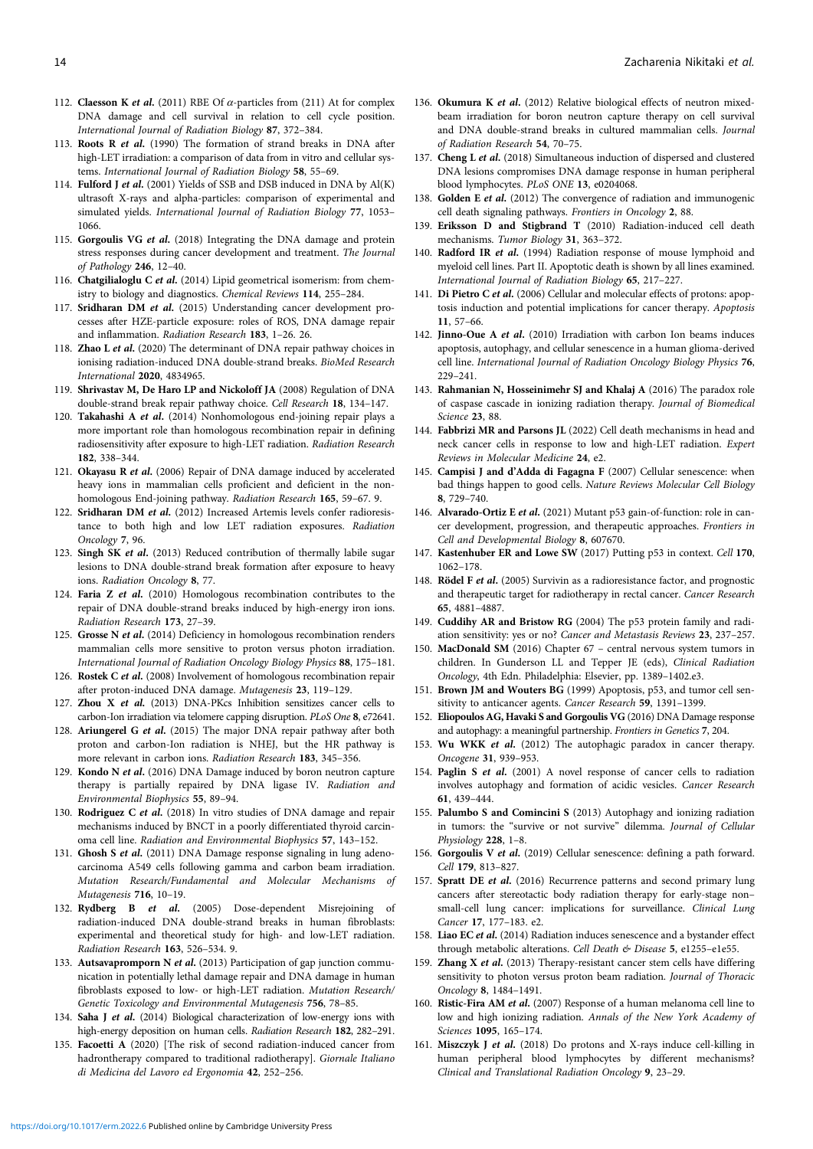- <span id="page-13-0"></span>112. Claesson K et al. (2011) RBE Of  $\alpha$ -particles from (211) At for complex DNA damage and cell survival in relation to cell cycle position. International Journal of Radiation Biology 87, 372–384.
- 113. Roots R et al. (1990) The formation of strand breaks in DNA after high-LET irradiation: a comparison of data from in vitro and cellular systems. International Journal of Radiation Biology 58, 55–69.
- 114. Fulford J et al. (2001) Yields of SSB and DSB induced in DNA by Al(K) ultrasoft X-rays and alpha-particles: comparison of experimental and simulated yields. International Journal of Radiation Biology 77, 1053– 1066.
- 115. Gorgoulis VG et al. (2018) Integrating the DNA damage and protein stress responses during cancer development and treatment. The Journal of Pathology 246, 12–40.
- 116. Chatgilialoglu C et al. (2014) Lipid geometrical isomerism: from chemistry to biology and diagnostics. Chemical Reviews 114, 255–284.
- 117. Sridharan DM et al. (2015) Understanding cancer development processes after HZE-particle exposure: roles of ROS, DNA damage repair and inflammation. Radiation Research 183, 1–26. 26.
- 118. Zhao L et al. (2020) The determinant of DNA repair pathway choices in ionising radiation-induced DNA double-strand breaks. BioMed Research International 2020, 4834965.
- 119. Shrivastav M, De Haro LP and Nickoloff JA (2008) Regulation of DNA double-strand break repair pathway choice. Cell Research 18, 134–147.
- 120. Takahashi A et al. (2014) Nonhomologous end-joining repair plays a more important role than homologous recombination repair in defining radiosensitivity after exposure to high-LET radiation. Radiation Research 182, 338–344.
- 121. Okayasu R et al. (2006) Repair of DNA damage induced by accelerated heavy ions in mammalian cells proficient and deficient in the nonhomologous End-joining pathway. Radiation Research 165, 59–67. 9.
- 122. Sridharan DM et al. (2012) Increased Artemis levels confer radioresistance to both high and low LET radiation exposures. Radiation Oncology 7, 96.
- 123. Singh SK et al. (2013) Reduced contribution of thermally labile sugar lesions to DNA double-strand break formation after exposure to heavy ions. Radiation Oncology 8, 77.
- 124. Faria Z et al. (2010) Homologous recombination contributes to the repair of DNA double-strand breaks induced by high-energy iron ions. Radiation Research 173, 27–39.
- 125. Grosse N et al. (2014) Deficiency in homologous recombination renders mammalian cells more sensitive to proton versus photon irradiation. International Journal of Radiation Oncology Biology Physics 88, 175–181.
- 126. Rostek C et al. (2008) Involvement of homologous recombination repair after proton-induced DNA damage. Mutagenesis 23, 119–129.
- 127. Zhou X et al. (2013) DNA-PKcs Inhibition sensitizes cancer cells to carbon-Ion irradiation via telomere capping disruption. PLoS One 8, e72641.
- 128. Ariungerel G et al. (2015) The major DNA repair pathway after both proton and carbon-Ion radiation is NHEJ, but the HR pathway is more relevant in carbon ions. Radiation Research 183, 345-356.
- 129. Kondo N et al. (2016) DNA Damage induced by boron neutron capture therapy is partially repaired by DNA ligase IV. Radiation and Environmental Biophysics 55, 89–94.
- 130. Rodriguez C et al. (2018) In vitro studies of DNA damage and repair mechanisms induced by BNCT in a poorly differentiated thyroid carcinoma cell line. Radiation and Environmental Biophysics 57, 143–152.
- 131. Ghosh S et al. (2011) DNA Damage response signaling in lung adenocarcinoma A549 cells following gamma and carbon beam irradiation. Mutation Research/Fundamental and Molecular Mechanisms of Mutagenesis 716, 10–19.
- 132. Rydberg B et al. (2005) Dose-dependent Misrejoining of radiation-induced DNA double-strand breaks in human fibroblasts: experimental and theoretical study for high- and low-LET radiation. Radiation Research 163, 526–534. 9.
- 133. Autsavapromporn N et al. (2013) Participation of gap junction communication in potentially lethal damage repair and DNA damage in human fibroblasts exposed to low- or high-LET radiation. Mutation Research/ Genetic Toxicology and Environmental Mutagenesis 756, 78–85.
- 134. Saha J et al. (2014) Biological characterization of low-energy ions with high-energy deposition on human cells. Radiation Research 182, 282–291.
- 135. Facoetti A (2020) [The risk of second radiation-induced cancer from hadrontherapy compared to traditional radiotherapy]. Giornale Italiano di Medicina del Lavoro ed Ergonomia 42, 252–256.
- 136. Okumura K et al. (2012) Relative biological effects of neutron mixedbeam irradiation for boron neutron capture therapy on cell survival and DNA double-strand breaks in cultured mammalian cells. Journal of Radiation Research 54, 70–75.
- 137. Cheng L et al. (2018) Simultaneous induction of dispersed and clustered DNA lesions compromises DNA damage response in human peripheral blood lymphocytes. PLoS ONE 13, e0204068.
- 138. Golden E et al. (2012) The convergence of radiation and immunogenic cell death signaling pathways. Frontiers in Oncology 2, 88.
- 139. Eriksson D and Stigbrand T (2010) Radiation-induced cell death mechanisms. Tumor Biology 31, 363–372.
- 140. Radford IR et al. (1994) Radiation response of mouse lymphoid and myeloid cell lines. Part II. Apoptotic death is shown by all lines examined. International Journal of Radiation Biology 65, 217–227.
- 141. Di Pietro C et al. (2006) Cellular and molecular effects of protons: apoptosis induction and potential implications for cancer therapy. Apoptosis 11, 57–66.
- 142. Jinno-Oue A et al. (2010) Irradiation with carbon Ion beams induces apoptosis, autophagy, and cellular senescence in a human glioma-derived cell line. International Journal of Radiation Oncology Biology Physics 76, 229–241.
- 143. Rahmanian N, Hosseinimehr SJ and Khalaj A (2016) The paradox role of caspase cascade in ionizing radiation therapy. Journal of Biomedical Science 23, 88.
- 144. Fabbrizi MR and Parsons JL (2022) Cell death mechanisms in head and neck cancer cells in response to low and high-LET radiation. Expert Reviews in Molecular Medicine 24, e2.
- 145. Campisi J and d'Adda di Fagagna F (2007) Cellular senescence: when bad things happen to good cells. Nature Reviews Molecular Cell Biology 8, 729–740.
- 146. Alvarado-Ortiz E et al. (2021) Mutant p53 gain-of-function: role in cancer development, progression, and therapeutic approaches. Frontiers in Cell and Developmental Biology 8, 607670.
- 147. Kastenhuber ER and Lowe SW (2017) Putting p53 in context. Cell 170, 1062–178.
- 148. Rödel F et al. (2005) Survivin as a radioresistance factor, and prognostic and therapeutic target for radiotherapy in rectal cancer. Cancer Research 65, 4881–4887.
- 149. Cuddihy AR and Bristow RG (2004) The p53 protein family and radiation sensitivity: yes or no? Cancer and Metastasis Reviews 23, 237–257.
- 150. MacDonald SM (2016) Chapter 67 central nervous system tumors in children. In Gunderson LL and Tepper JE (eds), Clinical Radiation Oncology, 4th Edn. Philadelphia: Elsevier, pp. 1389–1402.e3.
- 151. Brown JM and Wouters BG (1999) Apoptosis, p53, and tumor cell sensitivity to anticancer agents. Cancer Research 59, 1391–1399.
- 152. Eliopoulos AG, Havaki S and Gorgoulis VG (2016) DNA Damage response and autophagy: a meaningful partnership. Frontiers in Genetics 7, 204.
- 153. Wu WKK et al. (2012) The autophagic paradox in cancer therapy. Oncogene 31, 939–953.
- 154. Paglin S et al. (2001) A novel response of cancer cells to radiation involves autophagy and formation of acidic vesicles. Cancer Research 61, 439–444.
- 155. Palumbo S and Comincini S (2013) Autophagy and ionizing radiation in tumors: the "survive or not survive" dilemma. Journal of Cellular Physiology 228, 1–8.
- 156. Gorgoulis V et al. (2019) Cellular senescence: defining a path forward. Cell 179, 813–827.
- 157. Spratt DE et al. (2016) Recurrence patterns and second primary lung cancers after stereotactic body radiation therapy for early-stage non– small-cell lung cancer: implications for surveillance. Clinical Lung Cancer 17, 177–183. e2.
- 158. Liao EC et al. (2014) Radiation induces senescence and a bystander effect through metabolic alterations. Cell Death & Disease 5, e1255-e1e55.
- 159. Zhang X et al. (2013) Therapy-resistant cancer stem cells have differing sensitivity to photon versus proton beam radiation. Journal of Thoracic Oncology 8, 1484–1491.
- 160. Ristic-Fira AM et al. (2007) Response of a human melanoma cell line to low and high ionizing radiation. Annals of the New York Academy of Sciences 1095, 165–174.
- 161. Miszczyk J et al. (2018) Do protons and X-rays induce cell-killing in human peripheral blood lymphocytes by different mechanisms? Clinical and Translational Radiation Oncology 9, 23–29.